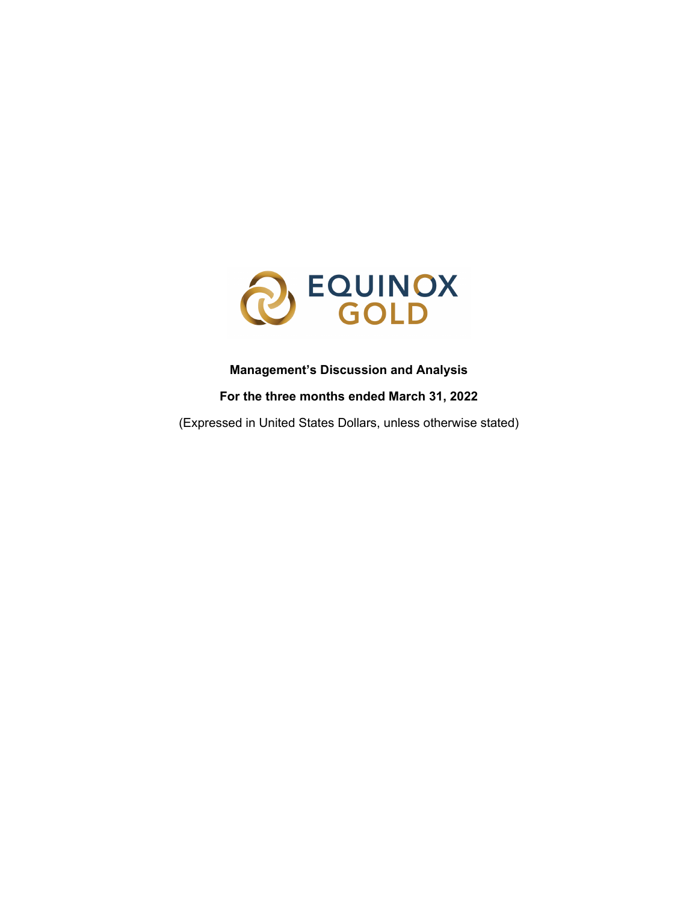

## **Management's Discussion and Analysis**

## **For the three months ended March 31, 2022**

(Expressed in United States Dollars, unless otherwise stated)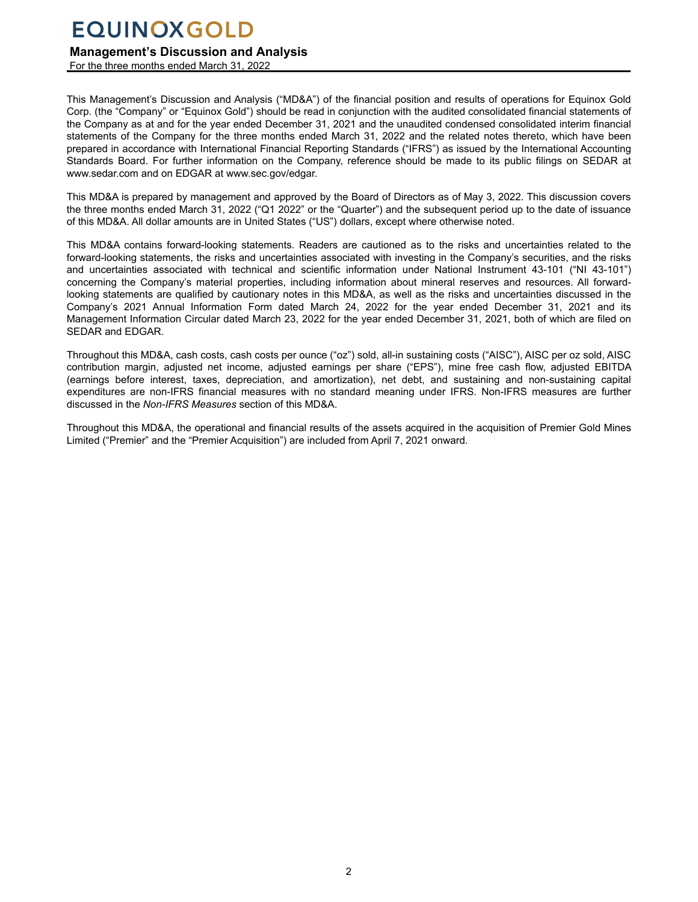### **Management's Discussion and Analysis**

For the three months ended March 31, 2022

This Management's Discussion and Analysis ("MD&A") of the financial position and results of operations for Equinox Gold Corp. (the "Company" or "Equinox Gold") should be read in conjunction with the audited consolidated financial statements of the Company as at and for the year ended December 31, 2021 and the unaudited condensed consolidated interim financial statements of the Company for the three months ended March 31, 2022 and the related notes thereto, which have been prepared in accordance with International Financial Reporting Standards ("IFRS") as issued by the International Accounting Standards Board. For further information on the Company, reference should be made to its public filings on SEDAR at www.sedar.com and on EDGAR at www.sec.gov/edgar.

This MD&A is prepared by management and approved by the Board of Directors as of May 3, 2022. This discussion covers the three months ended March 31, 2022 ("Q1 2022" or the "Quarter") and the subsequent period up to the date of issuance of this MD&A. All dollar amounts are in United States ("US") dollars, except where otherwise noted.

This MD&A contains forward-looking statements. Readers are cautioned as to the risks and uncertainties related to the forward-looking statements, the risks and uncertainties associated with investing in the Company's securities, and the risks and uncertainties associated with technical and scientific information under National Instrument 43-101 ("NI 43-101") concerning the Company's material properties, including information about mineral reserves and resources. All forwardlooking statements are qualified by cautionary notes in this MD&A, as well as the risks and uncertainties discussed in the Company's 2021 Annual Information Form dated March 24, 2022 for the year ended December 31, 2021 and its Management Information Circular dated March 23, 2022 for the year ended December 31, 2021, both of which are filed on SEDAR and EDGAR.

Throughout this MD&A, cash costs, cash costs per ounce ("oz") sold, all-in sustaining costs ("AISC"), AISC per oz sold, AISC contribution margin, adjusted net income, adjusted earnings per share ("EPS"), mine free cash flow, adjusted EBITDA (earnings before interest, taxes, depreciation, and amortization), net debt, and sustaining and non-sustaining capital expenditures are non-IFRS financial measures with no standard meaning under IFRS. Non-IFRS measures are further discussed in the *Non-IFRS Measures* section of this MD&A.

Throughout this MD&A, the operational and financial results of the assets acquired in the acquisition of Premier Gold Mines Limited ("Premier" and the "Premier Acquisition") are included from April 7, 2021 onward.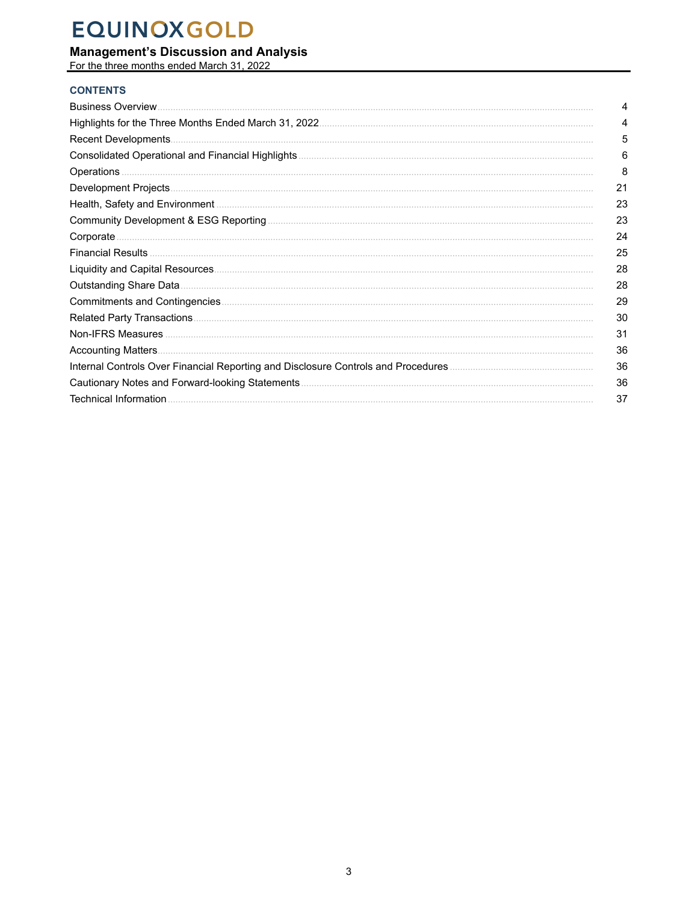# **Management's Discussion and Analysis**<br>For the three months ended March 31, 2022

## **CONTENTS**

| <b>Business Overview.</b>                       | 4  |
|-------------------------------------------------|----|
|                                                 | 4  |
| Recent Developments                             | 5  |
|                                                 | 6  |
| <b>Operations</b>                               | 8  |
|                                                 | 21 |
|                                                 | 23 |
|                                                 | 23 |
| Corporate                                       | 24 |
|                                                 | 25 |
|                                                 | 28 |
| Outstanding Share Data.                         | 28 |
|                                                 | 29 |
|                                                 | 30 |
|                                                 | 31 |
|                                                 | 36 |
|                                                 | 36 |
| Cautionary Notes and Forward-looking Statements | 36 |
|                                                 | 37 |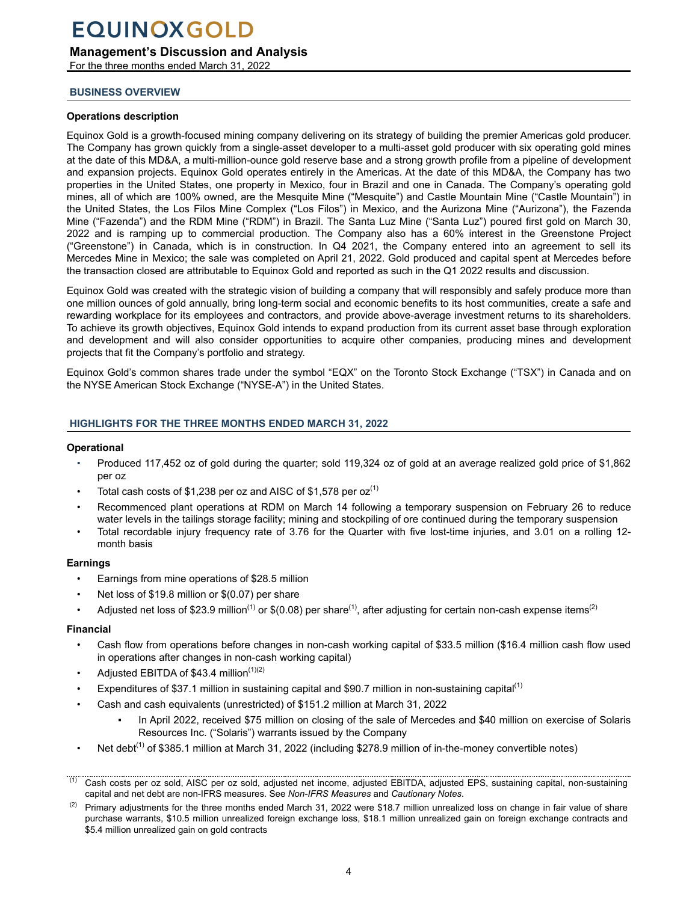### <span id="page-3-0"></span>**Management's Discussion and Analysis**

For the three months ended March 31, 2022

#### **BUSINESS OVERVIEW**

#### **Operations description**

Equinox Gold is a growth-focused mining company delivering on its strategy of building the premier Americas gold producer. The Company has grown quickly from a single-asset developer to a multi-asset gold producer with six operating gold mines at the date of this MD&A, a multi-million-ounce gold reserve base and a strong growth profile from a pipeline of development and expansion projects. Equinox Gold operates entirely in the Americas. At the date of this MD&A, the Company has two properties in the United States, one property in Mexico, four in Brazil and one in Canada. The Company's operating gold mines, all of which are 100% owned, are the Mesquite Mine ("Mesquite") and Castle Mountain Mine ("Castle Mountain") in the United States, the Los Filos Mine Complex ("Los Filos") in Mexico, and the Aurizona Mine ("Aurizona"), the Fazenda Mine ("Fazenda") and the RDM Mine ("RDM") in Brazil. The Santa Luz Mine ("Santa Luz") poured first gold on March 30, 2022 and is ramping up to commercial production. The Company also has a 60% interest in the Greenstone Project ("Greenstone") in Canada, which is in construction. In Q4 2021, the Company entered into an agreement to sell its Mercedes Mine in Mexico; the sale was completed on April 21, 2022. Gold produced and capital spent at Mercedes before the transaction closed are attributable to Equinox Gold and reported as such in the Q1 2022 results and discussion.

Equinox Gold was created with the strategic vision of building a company that will responsibly and safely produce more than one million ounces of gold annually, bring long-term social and economic benefits to its host communities, create a safe and rewarding workplace for its employees and contractors, and provide above-average investment returns to its shareholders. To achieve its growth objectives, Equinox Gold intends to expand production from its current asset base through exploration and development and will also consider opportunities to acquire other companies, producing mines and development projects that fit the Company's portfolio and strategy.

Equinox Gold's common shares trade under the symbol "EQX" on the Toronto Stock Exchange ("TSX") in Canada and on the NYSE American Stock Exchange ("NYSE-A") in the United States.

#### **HIGHLIGHTS FOR THE THREE MONTHS ENDED MARCH 31, 2022**

#### **Operational**

- Produced 117,452 oz of gold during the quarter; sold 119,324 oz of gold at an average realized gold price of \$1,862 per oz
- Total cash costs of \$1,238 per oz and AISC of \$1,578 per  $oz^{(1)}$
- Recommenced plant operations at RDM on March 14 following a temporary suspension on February 26 to reduce water levels in the tailings storage facility; mining and stockpiling of ore continued during the temporary suspension
- Total recordable injury frequency rate of 3.76 for the Quarter with five lost-time injuries, and 3.01 on a rolling 12 month basis

#### **Earnings**

- Earnings from mine operations of \$28.5 million
- Net loss of \$19.8 million or \$(0.07) per share
- Adjusted net loss of \$23.9 million<sup>(1)</sup> or \$(0.08) per share<sup>(1)</sup>, after adjusting for certain non-cash expense items<sup>(2)</sup>

#### **Financial**

- Cash flow from operations before changes in non-cash working capital of \$33.5 million (\$16.4 million cash flow used in operations after changes in non-cash working capital)
- Adjusted EBITDA of \$43.4 million<sup>(1)(2)</sup>
- Expenditures of \$37.1 million in sustaining capital and \$90.7 million in non-sustaining capital<sup>(1)</sup>
- Cash and cash equivalents (unrestricted) of \$151.2 million at March 31, 2022
	- In April 2022, received \$75 million on closing of the sale of Mercedes and \$40 million on exercise of Solaris Resources Inc. ("Solaris") warrants issued by the Company
- Net debt<sup>(1)</sup> of \$385.1 million at March 31, 2022 (including \$278.9 million of in-the-money convertible notes)

<sup>(1)</sup> Cash costs per oz sold, AISC per oz sold, adjusted net income, adjusted EBITDA, adjusted EPS, sustaining capital, non-sustaining capital and net debt are non-IFRS measures. See *Non-IFRS Measures* and *Cautionary Notes*.

 $(2)$  Primary adjustments for the three months ended March 31, 2022 were \$18.7 million unrealized loss on change in fair value of share purchase warrants, \$10.5 million unrealized foreign exchange loss, \$18.1 million unrealized gain on foreign exchange contracts and \$5.4 million unrealized gain on gold contracts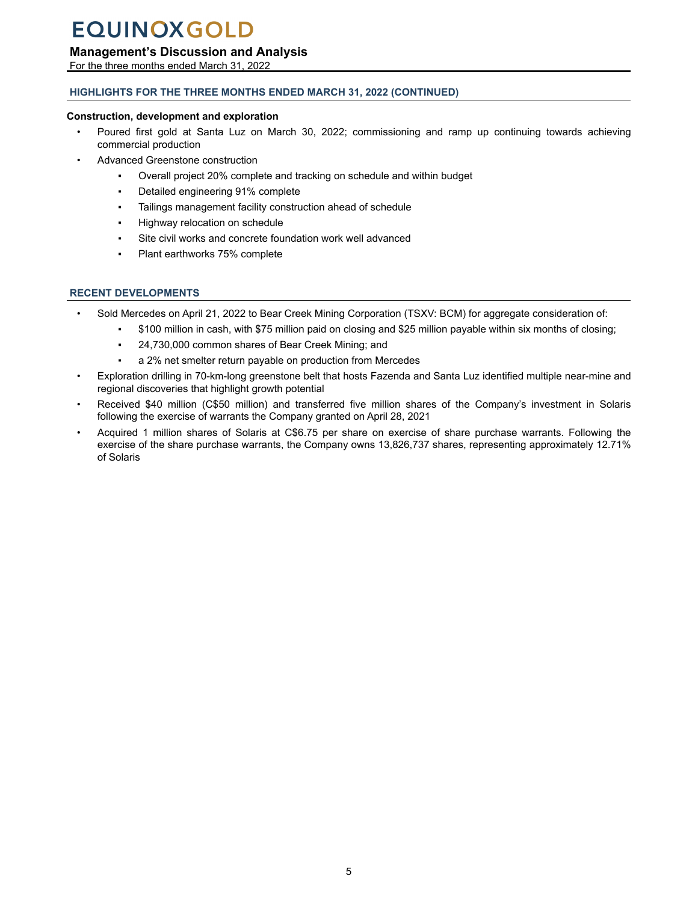### <span id="page-4-0"></span>**Management's Discussion and Analysis**

For the three months ended March 31, 2022

### **HIGHLIGHTS FOR THE THREE MONTHS ENDED MARCH 31, 2022 (CONTINUED)**

#### **Construction, development and exploration**

- Poured first gold at Santa Luz on March 30, 2022; commissioning and ramp up continuing towards achieving commercial production
- Advanced Greenstone construction
	- Overall project 20% complete and tracking on schedule and within budget
	- Detailed engineering 91% complete
	- Tailings management facility construction ahead of schedule
	- Highway relocation on schedule
	- Site civil works and concrete foundation work well advanced
	- Plant earthworks 75% complete

#### **RECENT DEVELOPMENTS**

- Sold Mercedes on April 21, 2022 to Bear Creek Mining Corporation (TSXV: BCM) for aggregate consideration of:
	- \$100 million in cash, with \$75 million paid on closing and \$25 million payable within six months of closing;
	- 24,730,000 common shares of Bear Creek Mining; and
	- a 2% net smelter return payable on production from Mercedes
- Exploration drilling in 70-km-long greenstone belt that hosts Fazenda and Santa Luz identified multiple near-mine and regional discoveries that highlight growth potential
- Received \$40 million (C\$50 million) and transferred five million shares of the Company's investment in Solaris following the exercise of warrants the Company granted on April 28, 2021
- Acquired 1 million shares of Solaris at C\$6.75 per share on exercise of share purchase warrants. Following the exercise of the share purchase warrants, the Company owns 13,826,737 shares, representing approximately 12.71% of Solaris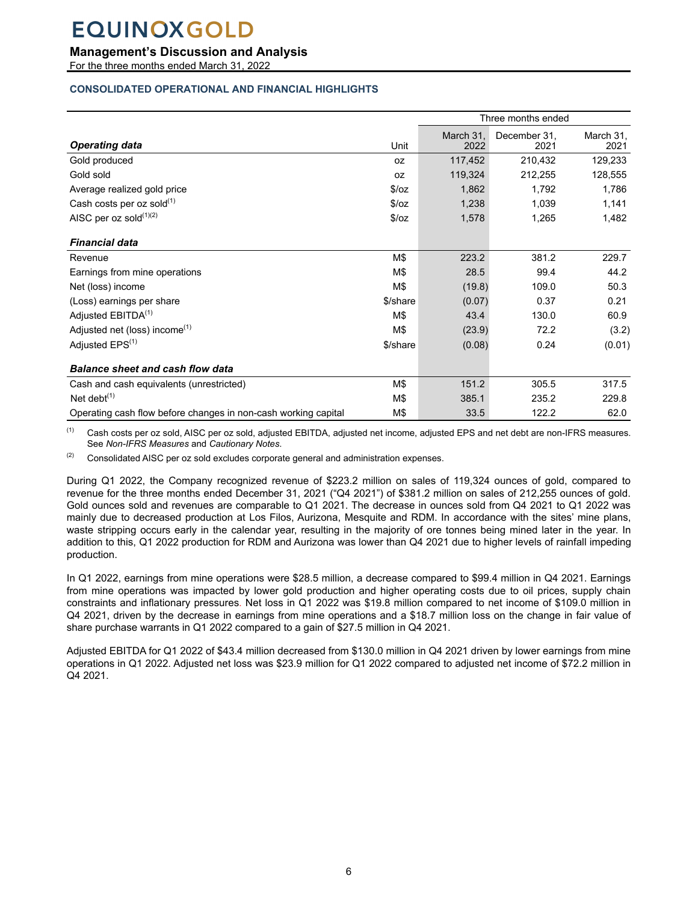### <span id="page-5-0"></span>**Management's Discussion and Analysis**

For the three months ended March 31, 2022

#### **CONSOLIDATED OPERATIONAL AND FINANCIAL HIGHLIGHTS**

|                                                                |          | Three months ended |                      |                   |
|----------------------------------------------------------------|----------|--------------------|----------------------|-------------------|
| <b>Operating data</b>                                          | Unit     | March 31.<br>2022  | December 31,<br>2021 | March 31,<br>2021 |
| Gold produced                                                  | 0Z       | 117,452            | 210,432              | 129,233           |
| Gold sold                                                      | 0Z       | 119,324            | 212,255              | 128,555           |
| Average realized gold price                                    | \$/oz    | 1,862              | 1,792                | 1,786             |
| Cash costs per oz sold $^{(1)}$                                | \$/oz    | 1,238              | 1,039                | 1,141             |
| AISC per oz sold $(1)(2)$                                      | \$/oz    | 1,578              | 1,265                | 1,482             |
| <b>Financial data</b>                                          |          |                    |                      |                   |
| Revenue                                                        | M\$      | 223.2              | 381.2                | 229.7             |
| Earnings from mine operations                                  | M\$      | 28.5               | 99.4                 | 44.2              |
| Net (loss) income                                              | M\$      | (19.8)             | 109.0                | 50.3              |
| (Loss) earnings per share                                      | \$/share | (0.07)             | 0.37                 | 0.21              |
| Adjusted EBITDA <sup>(1)</sup>                                 | M\$      | 43.4               | 130.0                | 60.9              |
| Adjusted net (loss) income <sup>(1)</sup>                      | M\$      | (23.9)             | 72.2                 | (3.2)             |
| Adjusted EPS <sup>(1)</sup>                                    | \$/share | (0.08)             | 0.24                 | (0.01)            |
| <b>Balance sheet and cash flow data</b>                        |          |                    |                      |                   |
| Cash and cash equivalents (unrestricted)                       | M\$      | 151.2              | 305.5                | 317.5             |
| Net debt $(1)$                                                 | M\$      | 385.1              | 235.2                | 229.8             |
| Operating cash flow before changes in non-cash working capital | M\$      | 33.5               | 122.2                | 62.0              |

(1) Cash costs per oz sold, AISC per oz sold, adjusted EBITDA, adjusted net income, adjusted EPS and net debt are non-IFRS measures. See *Non-IFRS Measures* and *Cautionary Notes*.

 $(2)$  Consolidated AISC per oz sold excludes corporate general and administration expenses.

During Q1 2022, the Company recognized revenue of \$223.2 million on sales of 119,324 ounces of gold, compared to revenue for the three months ended December 31, 2021 ("Q4 2021") of \$381.2 million on sales of 212,255 ounces of gold. Gold ounces sold and revenues are comparable to Q1 2021. The decrease in ounces sold from Q4 2021 to Q1 2022 was mainly due to decreased production at Los Filos, Aurizona, Mesquite and RDM. In accordance with the sites' mine plans, waste stripping occurs early in the calendar year, resulting in the majority of ore tonnes being mined later in the year. In addition to this, Q1 2022 production for RDM and Aurizona was lower than Q4 2021 due to higher levels of rainfall impeding production.

In Q1 2022, earnings from mine operations were \$28.5 million, a decrease compared to \$99.4 million in Q4 2021. Earnings from mine operations was impacted by lower gold production and higher operating costs due to oil prices, supply chain constraints and inflationary pressures. Net loss in Q1 2022 was \$19.8 million compared to net income of \$109.0 million in Q4 2021, driven by the decrease in earnings from mine operations and a \$18.7 million loss on the change in fair value of share purchase warrants in Q1 2022 compared to a gain of \$27.5 million in Q4 2021.

Adjusted EBITDA for Q1 2022 of \$43.4 million decreased from \$130.0 million in Q4 2021 driven by lower earnings from mine operations in Q1 2022. Adjusted net loss was \$23.9 million for Q1 2022 compared to adjusted net income of \$72.2 million in Q4 2021.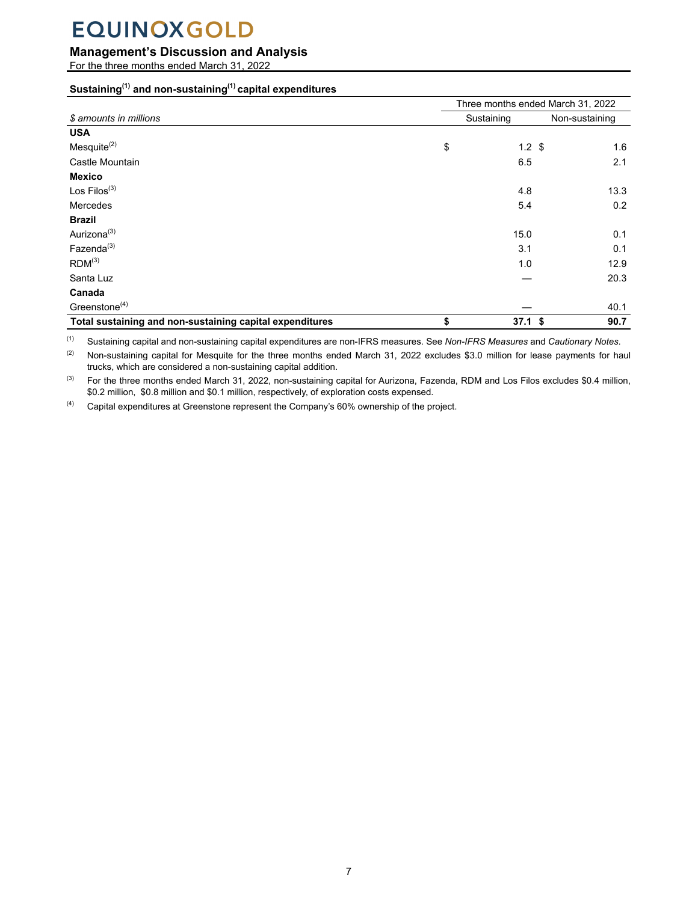## **Management's Discussion and Analysis**

For the three months ended March 31, 2022

### **Sustaining(1) and non-sustaining(1) capital expenditures**

|                                                          | Three months ended March 31, 2022 |                  |                |  |  |  |
|----------------------------------------------------------|-----------------------------------|------------------|----------------|--|--|--|
| \$ amounts in millions                                   |                                   | Sustaining       | Non-sustaining |  |  |  |
| <b>USA</b>                                               |                                   |                  |                |  |  |  |
| Mesquite $^{(2)}$                                        | \$                                | $1.2 \text{ } $$ | 1.6            |  |  |  |
| Castle Mountain                                          |                                   | 6.5              | 2.1            |  |  |  |
| <b>Mexico</b>                                            |                                   |                  |                |  |  |  |
| Los $Filos^{(3)}$                                        |                                   | 4.8              | 13.3           |  |  |  |
| Mercedes                                                 |                                   | 5.4              | 0.2            |  |  |  |
| <b>Brazil</b>                                            |                                   |                  |                |  |  |  |
| Aurizona <sup>(3)</sup>                                  |                                   | 15.0             | 0.1            |  |  |  |
| Fazenda <sup>(3)</sup>                                   |                                   | 3.1              | 0.1            |  |  |  |
| $RDM^{(3)}$                                              |                                   | 1.0              | 12.9           |  |  |  |
| Santa Luz                                                |                                   |                  | 20.3           |  |  |  |
| Canada                                                   |                                   |                  |                |  |  |  |
| Greenstone $(4)$                                         |                                   |                  | 40.1           |  |  |  |
| Total sustaining and non-sustaining capital expenditures | \$                                | $37.1$ \$        | 90.7           |  |  |  |

(1) Sustaining capital and non-sustaining capital expenditures are non-IFRS measures. See *Non-IFRS Measures* and *Cautionary Notes*.

<sup>(2)</sup> Non-sustaining capital for Mesquite for the three months ended March 31, 2022 excludes \$3.0 million for lease payments for haul trucks, which are considered a non-sustaining capital addition.

<sup>(3)</sup> For the three months ended March 31, 2022, non-sustaining capital for Aurizona, Fazenda, RDM and Los Filos excludes \$0.4 million, \$0.2 million, \$0.8 million and \$0.1 million, respectively, of exploration costs expensed.

 $(4)$  Capital expenditures at Greenstone represent the Company's 60% ownership of the project.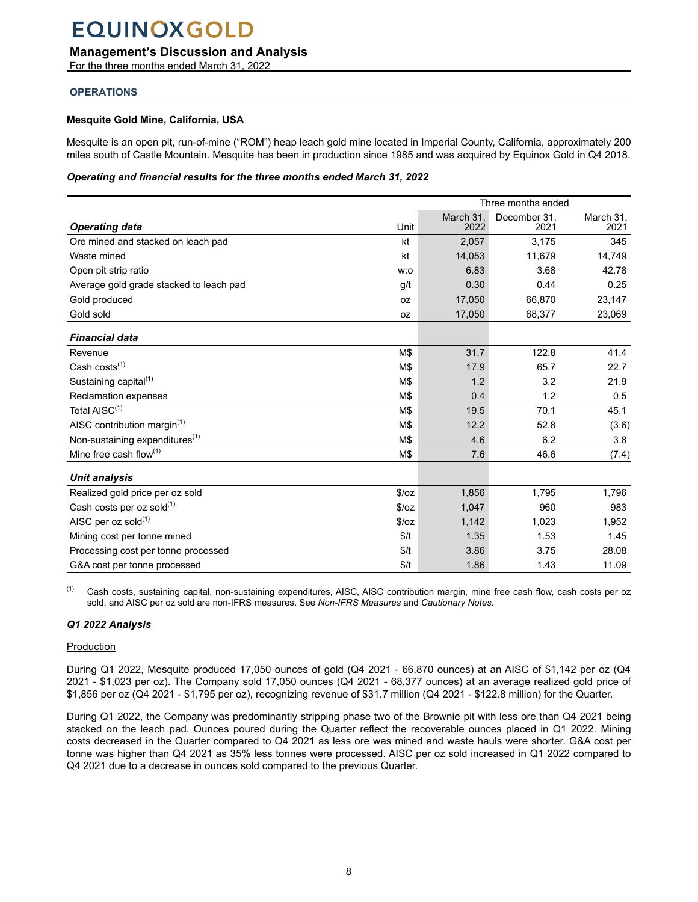### <span id="page-7-0"></span>**Management's Discussion and Analysis**

For the three months ended March 31, 2022

#### **OPERATIONS**

#### **Mesquite Gold Mine, California, USA**

Mesquite is an open pit, run-of-mine ("ROM") heap leach gold mine located in Imperial County, California, approximately 200 miles south of Castle Mountain. Mesquite has been in production since 1985 and was acquired by Equinox Gold in Q4 2018.

#### *Operating and financial results for the three months ended March 31, 2022*

|                                            | Three months ended                                |        |        |        |  |
|--------------------------------------------|---------------------------------------------------|--------|--------|--------|--|
| <b>Operating data</b>                      | March 31.<br>December 31,<br>Unit<br>2022<br>2021 |        |        |        |  |
|                                            |                                                   |        |        | 2021   |  |
| Ore mined and stacked on leach pad         | kt                                                | 2,057  | 3,175  | 345    |  |
| Waste mined                                | kt                                                | 14,053 | 11,679 | 14,749 |  |
| Open pit strip ratio                       | w:o                                               | 6.83   | 3.68   | 42.78  |  |
| Average gold grade stacked to leach pad    | g/t                                               | 0.30   | 0.44   | 0.25   |  |
| Gold produced                              | 0Z                                                | 17,050 | 66,870 | 23,147 |  |
| Gold sold                                  | 0Z                                                | 17,050 | 68,377 | 23,069 |  |
| <b>Financial data</b>                      |                                                   |        |        |        |  |
| Revenue                                    | M\$                                               | 31.7   | 122.8  | 41.4   |  |
| Cash costs $(1)$                           | M\$                                               | 17.9   | 65.7   | 22.7   |  |
| Sustaining capital <sup>(1)</sup>          | M\$                                               | 1.2    | 3.2    | 21.9   |  |
| <b>Reclamation expenses</b>                | M\$                                               | 0.4    | 1.2    | 0.5    |  |
| Total AISC <sup>(1)</sup>                  | M\$                                               | 19.5   | 70.1   | 45.1   |  |
| AISC contribution margin $(1)$             | M\$                                               | 12.2   | 52.8   | (3.6)  |  |
| Non-sustaining expenditures <sup>(1)</sup> | M\$                                               | 4.6    | 6.2    | 3.8    |  |
| Mine free cash flow $(1)$                  | M\$                                               | 7.6    | 46.6   | (7.4)  |  |
| <b>Unit analysis</b>                       |                                                   |        |        |        |  |
| Realized gold price per oz sold            | \$/oz                                             | 1,856  | 1,795  | 1,796  |  |
| Cash costs per oz sold $^{(1)}$            | \$/oz                                             | 1,047  | 960    | 983    |  |
| AISC per oz sold $(1)$                     | \$/oz                                             | 1,142  | 1,023  | 1,952  |  |
| Mining cost per tonne mined                | \$/t                                              | 1.35   | 1.53   | 1.45   |  |
| Processing cost per tonne processed        | \$/t                                              | 3.86   | 3.75   | 28.08  |  |
| G&A cost per tonne processed               | \$/t                                              | 1.86   | 1.43   | 11.09  |  |

(1) Cash costs, sustaining capital, non-sustaining expenditures, AISC, AISC contribution margin, mine free cash flow, cash costs per oz sold, and AISC per oz sold are non-IFRS measures. See *Non-IFRS Measures* and *Cautionary Notes*.

#### *Q1 2022 Analysis*

#### **Production**

During Q1 2022, Mesquite produced 17,050 ounces of gold (Q4 2021 - 66,870 ounces) at an AISC of \$1,142 per oz (Q4 2021 - \$1,023 per oz). The Company sold 17,050 ounces (Q4 2021 - 68,377 ounces) at an average realized gold price of \$1,856 per oz (Q4 2021 - \$1,795 per oz), recognizing revenue of \$31.7 million (Q4 2021 - \$122.8 million) for the Quarter.

During Q1 2022, the Company was predominantly stripping phase two of the Brownie pit with less ore than Q4 2021 being stacked on the leach pad. Ounces poured during the Quarter reflect the recoverable ounces placed in Q1 2022. Mining costs decreased in the Quarter compared to Q4 2021 as less ore was mined and waste hauls were shorter. G&A cost per tonne was higher than Q4 2021 as 35% less tonnes were processed. AISC per oz sold increased in Q1 2022 compared to Q4 2021 due to a decrease in ounces sold compared to the previous Quarter.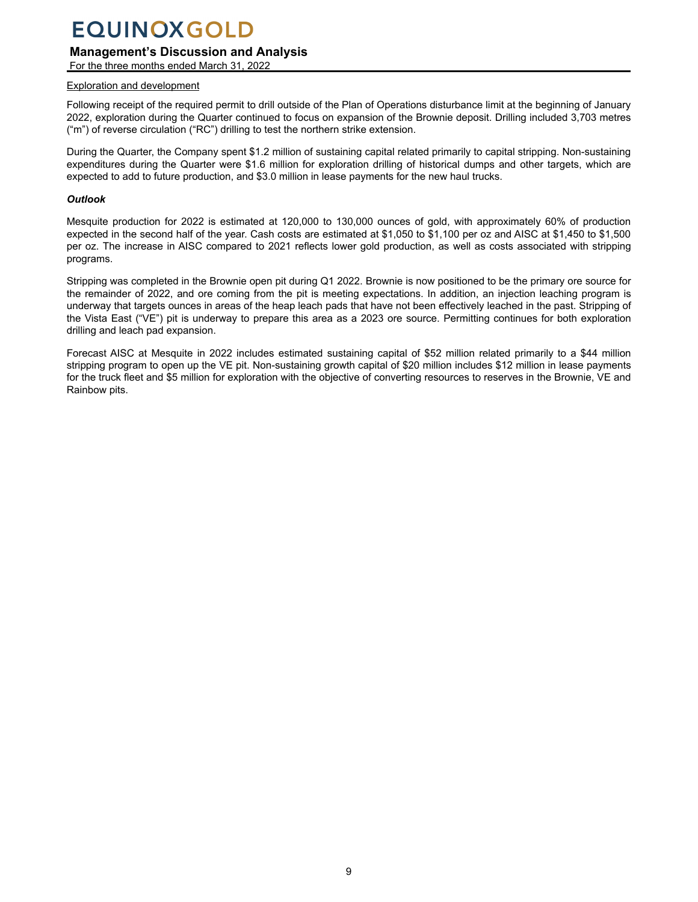### **Management's Discussion and Analysis**

For the three months ended March 31, 2022

#### Exploration and development

Following receipt of the required permit to drill outside of the Plan of Operations disturbance limit at the beginning of January 2022, exploration during the Quarter continued to focus on expansion of the Brownie deposit. Drilling included 3,703 metres ("m") of reverse circulation ("RC") drilling to test the northern strike extension.

During the Quarter, the Company spent \$1.2 million of sustaining capital related primarily to capital stripping. Non-sustaining expenditures during the Quarter were \$1.6 million for exploration drilling of historical dumps and other targets, which are expected to add to future production, and \$3.0 million in lease payments for the new haul trucks.

#### *Outlook*

Mesquite production for 2022 is estimated at 120,000 to 130,000 ounces of gold, with approximately 60% of production expected in the second half of the year. Cash costs are estimated at \$1,050 to \$1,100 per oz and AISC at \$1,450 to \$1,500 per oz. The increase in AISC compared to 2021 reflects lower gold production, as well as costs associated with stripping programs.

Stripping was completed in the Brownie open pit during Q1 2022. Brownie is now positioned to be the primary ore source for the remainder of 2022, and ore coming from the pit is meeting expectations. In addition, an injection leaching program is underway that targets ounces in areas of the heap leach pads that have not been effectively leached in the past. Stripping of the Vista East ("VE") pit is underway to prepare this area as a 2023 ore source. Permitting continues for both exploration drilling and leach pad expansion.

Forecast AISC at Mesquite in 2022 includes estimated sustaining capital of \$52 million related primarily to a \$44 million stripping program to open up the VE pit. Non-sustaining growth capital of \$20 million includes \$12 million in lease payments for the truck fleet and \$5 million for exploration with the objective of converting resources to reserves in the Brownie, VE and Rainbow pits.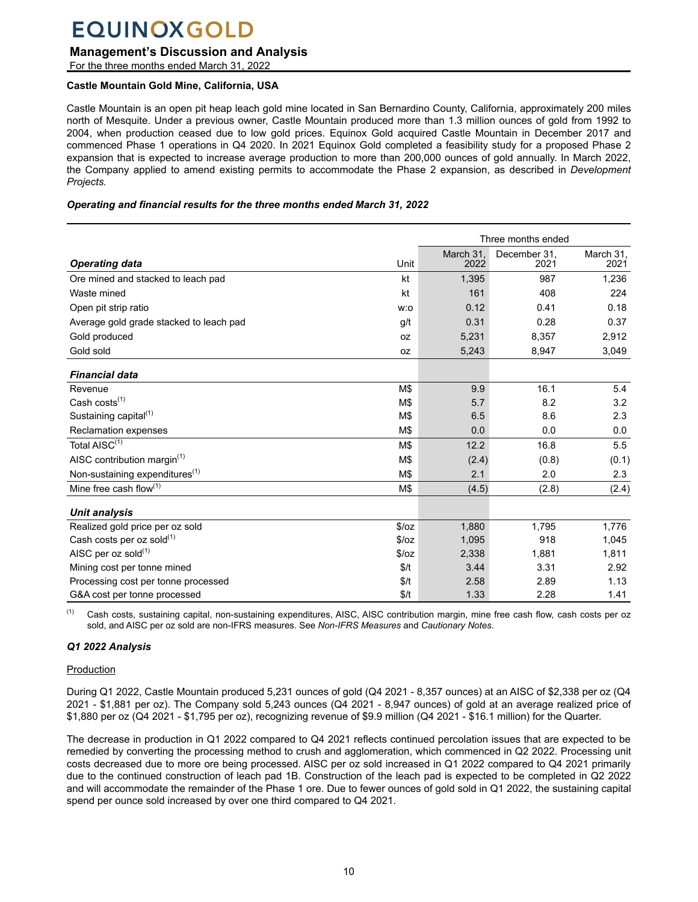### **Management's Discussion and Analysis**

For the three months ended March 31, 2022

#### **Castle Mountain Gold Mine, California, USA**

Castle Mountain is an open pit heap leach gold mine located in San Bernardino County, California, approximately 200 miles north of Mesquite. Under a previous owner, Castle Mountain produced more than 1.3 million ounces of gold from 1992 to 2004, when production ceased due to low gold prices. Equinox Gold acquired Castle Mountain in December 2017 and commenced Phase 1 operations in Q4 2020. In 2021 Equinox Gold completed a feasibility study for a proposed Phase 2 expansion that is expected to increase average production to more than 200,000 ounces of gold annually. In March 2022, the Company applied to amend existing permits to accommodate the Phase 2 expansion, as described in *Development Projects.*

#### *Operating and financial results for the three months ended March 31, 2022*

|                                            |       | Three months ended |                      |                   |
|--------------------------------------------|-------|--------------------|----------------------|-------------------|
| <b>Operating data</b>                      | Unit  | March 31.<br>2022  | December 31,<br>2021 | March 31,<br>2021 |
| Ore mined and stacked to leach pad         | kt    | 1,395              | 987                  | 1,236             |
| Waste mined                                | kt    | 161                | 408                  | 224               |
| Open pit strip ratio                       | w:o   | 0.12               | 0.41                 | 0.18              |
| Average gold grade stacked to leach pad    | g/t   | 0.31               | 0.28                 | 0.37              |
| Gold produced                              | 0Z    | 5,231              | 8,357                | 2,912             |
| Gold sold                                  | 0Z    | 5,243              | 8,947                | 3,049             |
| <b>Financial data</b>                      |       |                    |                      |                   |
| Revenue                                    | M\$   | 9.9                | 16.1                 | 5.4               |
| Cash costs <sup>(1)</sup>                  | M\$   | 5.7                | 8.2                  | 3.2               |
| Sustaining capital <sup>(1)</sup>          | M\$   | 6.5                | 8.6                  | 2.3               |
| <b>Reclamation expenses</b>                | M\$   | 0.0                | 0.0                  | 0.0               |
| Total AISC <sup>(1)</sup>                  | M\$   | 12.2               | 16.8                 | 5.5               |
| AISC contribution margin $(1)$             | M\$   | (2.4)              | (0.8)                | (0.1)             |
| Non-sustaining expenditures <sup>(1)</sup> | M\$   | 2.1                | 2.0                  | 2.3               |
| Mine free cash flow(1)                     | M\$   | (4.5)              | (2.8)                | (2.4)             |
| <b>Unit analysis</b>                       |       |                    |                      |                   |
| Realized gold price per oz sold            | \$/oz | 1,880              | 1,795                | 1,776             |
| Cash costs per oz sold $^{(1)}$            | \$/oz | 1,095              | 918                  | 1,045             |
| AISC per oz sold(1)                        | \$/oz | 2,338              | 1,881                | 1,811             |
| Mining cost per tonne mined                | \$/t  | 3.44               | 3.31                 | 2.92              |
| Processing cost per tonne processed        | \$/t  | 2.58               | 2.89                 | 1.13              |
| G&A cost per tonne processed               | \$/t  | 1.33               | 2.28                 | 1.41              |

<sup>(1)</sup> Cash costs, sustaining capital, non-sustaining expenditures, AISC, AISC contribution margin, mine free cash flow, cash costs per oz sold, and AISC per oz sold are non-IFRS measures. See *Non-IFRS Measures* and *Cautionary Notes*.

### *Q1 2022 Analysis*

#### **Production**

During Q1 2022, Castle Mountain produced 5,231 ounces of gold (Q4 2021 - 8,357 ounces) at an AISC of \$2,338 per oz (Q4 2021 - \$1,881 per oz). The Company sold 5,243 ounces (Q4 2021 - 8,947 ounces) of gold at an average realized price of \$1,880 per oz (Q4 2021 - \$1,795 per oz), recognizing revenue of \$9.9 million (Q4 2021 - \$16.1 million) for the Quarter.

The decrease in production in Q1 2022 compared to Q4 2021 reflects continued percolation issues that are expected to be remedied by converting the processing method to crush and agglomeration, which commenced in Q2 2022. Processing unit costs decreased due to more ore being processed. AISC per oz sold increased in Q1 2022 compared to Q4 2021 primarily due to the continued construction of leach pad 1B. Construction of the leach pad is expected to be completed in Q2 2022 and will accommodate the remainder of the Phase 1 ore. Due to fewer ounces of gold sold in Q1 2022, the sustaining capital spend per ounce sold increased by over one third compared to Q4 2021.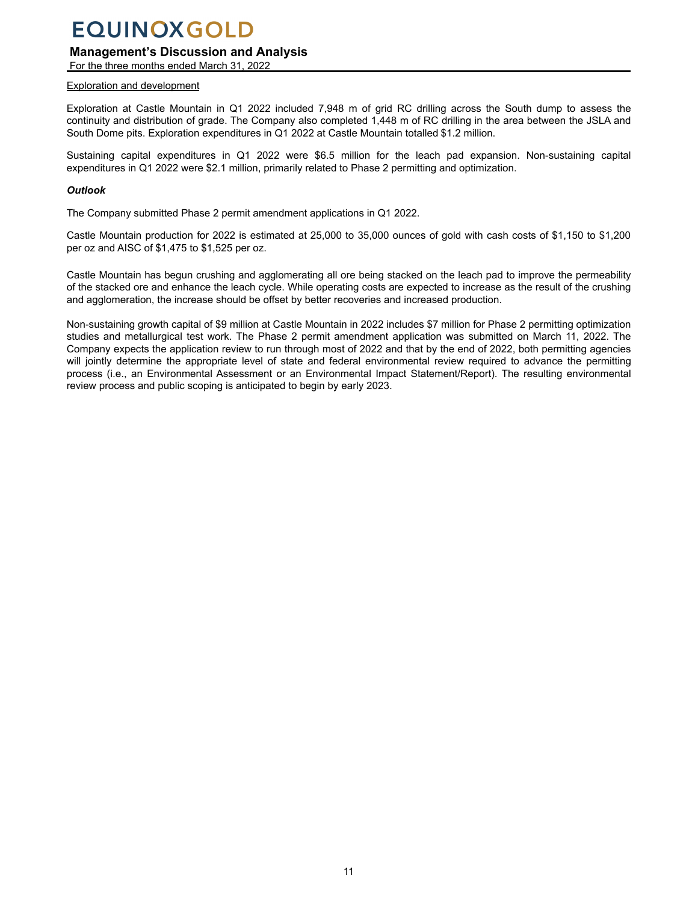## **Management's Discussion and Analysis**

For the three months ended March 31, 2022

### Exploration and development

Exploration at Castle Mountain in Q1 2022 included 7,948 m of grid RC drilling across the South dump to assess the continuity and distribution of grade. The Company also completed 1,448 m of RC drilling in the area between the JSLA and South Dome pits. Exploration expenditures in Q1 2022 at Castle Mountain totalled \$1.2 million.

Sustaining capital expenditures in Q1 2022 were \$6.5 million for the leach pad expansion. Non-sustaining capital expenditures in Q1 2022 were \$2.1 million, primarily related to Phase 2 permitting and optimization.

#### *Outlook*

The Company submitted Phase 2 permit amendment applications in Q1 2022.

Castle Mountain production for 2022 is estimated at 25,000 to 35,000 ounces of gold with cash costs of \$1,150 to \$1,200 per oz and AISC of \$1,475 to \$1,525 per oz.

Castle Mountain has begun crushing and agglomerating all ore being stacked on the leach pad to improve the permeability of the stacked ore and enhance the leach cycle. While operating costs are expected to increase as the result of the crushing and agglomeration, the increase should be offset by better recoveries and increased production.

Non-sustaining growth capital of \$9 million at Castle Mountain in 2022 includes \$7 million for Phase 2 permitting optimization studies and metallurgical test work. The Phase 2 permit amendment application was submitted on March 11, 2022. The Company expects the application review to run through most of 2022 and that by the end of 2022, both permitting agencies will jointly determine the appropriate level of state and federal environmental review required to advance the permitting process (i.e., an Environmental Assessment or an Environmental Impact Statement/Report). The resulting environmental review process and public scoping is anticipated to begin by early 2023.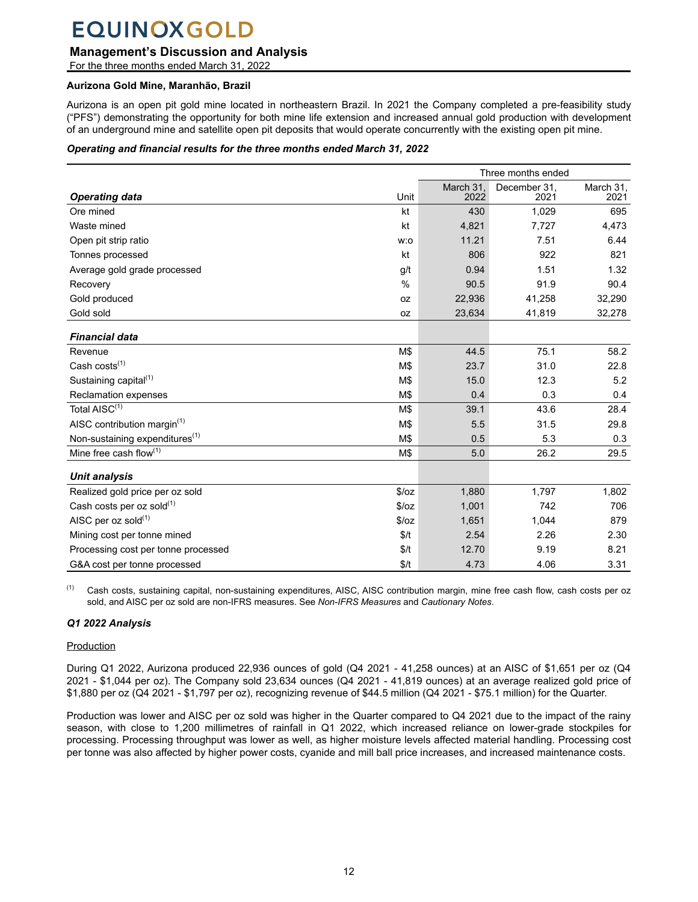### **Management's Discussion and Analysis**

For the three months ended March 31, 2022

#### **Aurizona Gold Mine, Maranhão, Brazil**

Aurizona is an open pit gold mine located in northeastern Brazil. In 2021 the Company completed a pre-feasibility study ("PFS") demonstrating the opportunity for both mine life extension and increased annual gold production with development of an underground mine and satellite open pit deposits that would operate concurrently with the existing open pit mine.

#### *Operating and financial results for the three months ended March 31, 2022*

|                                            | Three months ended |                   |                      |                   |
|--------------------------------------------|--------------------|-------------------|----------------------|-------------------|
| <b>Operating data</b>                      | Unit               | March 31,<br>2022 | December 31,<br>2021 | March 31,<br>2021 |
| Ore mined                                  | kt                 | 430               | 1,029                | 695               |
| Waste mined                                | kt                 | 4,821             | 7,727                | 4,473             |
| Open pit strip ratio                       | w:o                | 11.21             | 7.51                 | 6.44              |
| Tonnes processed                           | kt                 | 806               | 922                  | 821               |
| Average gold grade processed               | g/t                | 0.94              | 1.51                 | 1.32              |
| Recovery                                   | $\frac{0}{0}$      | 90.5              | 91.9                 | 90.4              |
| Gold produced                              | <b>OZ</b>          | 22,936            | 41,258               | 32,290            |
| Gold sold                                  | 0Z                 | 23,634            | 41,819               | 32,278            |
| <b>Financial data</b>                      |                    |                   |                      |                   |
| Revenue                                    | M\$                | 44.5              | 75.1                 | 58.2              |
| Cash costs <sup>(1)</sup>                  | M\$                | 23.7              | 31.0                 | 22.8              |
| Sustaining capital <sup>(1)</sup>          | M\$                | 15.0              | 12.3                 | 5.2               |
| Reclamation expenses                       | M\$                | 0.4               | 0.3                  | 0.4               |
| Total AISC(1)                              | M\$                | 39.1              | 43.6                 | 28.4              |
| AISC contribution margin $(1)$             | M\$                | 5.5               | 31.5                 | 29.8              |
| Non-sustaining expenditures <sup>(1)</sup> | M\$                | 0.5               | 5.3                  | 0.3               |
| Mine free cash flow $(1)$                  | M\$                | 5.0               | 26.2                 | 29.5              |
| <b>Unit analysis</b>                       |                    |                   |                      |                   |
| Realized gold price per oz sold            | \$/oz              | 1,880             | 1,797                | 1,802             |
| Cash costs per oz sold <sup>(1)</sup>      | \$/oz              | 1,001             | 742                  | 706               |
| AISC per oz sold(1)                        | \$/oz              | 1,651             | 1,044                | 879               |
| Mining cost per tonne mined                | \$/t               | 2.54              | 2.26                 | 2.30              |
| Processing cost per tonne processed        | \$/t               | 12.70             | 9.19                 | 8.21              |
| G&A cost per tonne processed               | \$/t               | 4.73              | 4.06                 | 3.31              |

<sup>(1)</sup> Cash costs, sustaining capital, non-sustaining expenditures, AISC, AISC contribution margin, mine free cash flow, cash costs per oz sold, and AISC per oz sold are non-IFRS measures. See *Non-IFRS Measures* and *Cautionary Notes*.

### *Q1 2022 Analysis*

#### **Production**

During Q1 2022, Aurizona produced 22,936 ounces of gold (Q4 2021 - 41,258 ounces) at an AISC of \$1,651 per oz (Q4 2021 - \$1,044 per oz). The Company sold 23,634 ounces (Q4 2021 - 41,819 ounces) at an average realized gold price of \$1,880 per oz (Q4 2021 - \$1,797 per oz), recognizing revenue of \$44.5 million (Q4 2021 - \$75.1 million) for the Quarter.

Production was lower and AISC per oz sold was higher in the Quarter compared to Q4 2021 due to the impact of the rainy season, with close to 1,200 millimetres of rainfall in Q1 2022, which increased reliance on lower-grade stockpiles for processing. Processing throughput was lower as well, as higher moisture levels affected material handling. Processing cost per tonne was also affected by higher power costs, cyanide and mill ball price increases, and increased maintenance costs.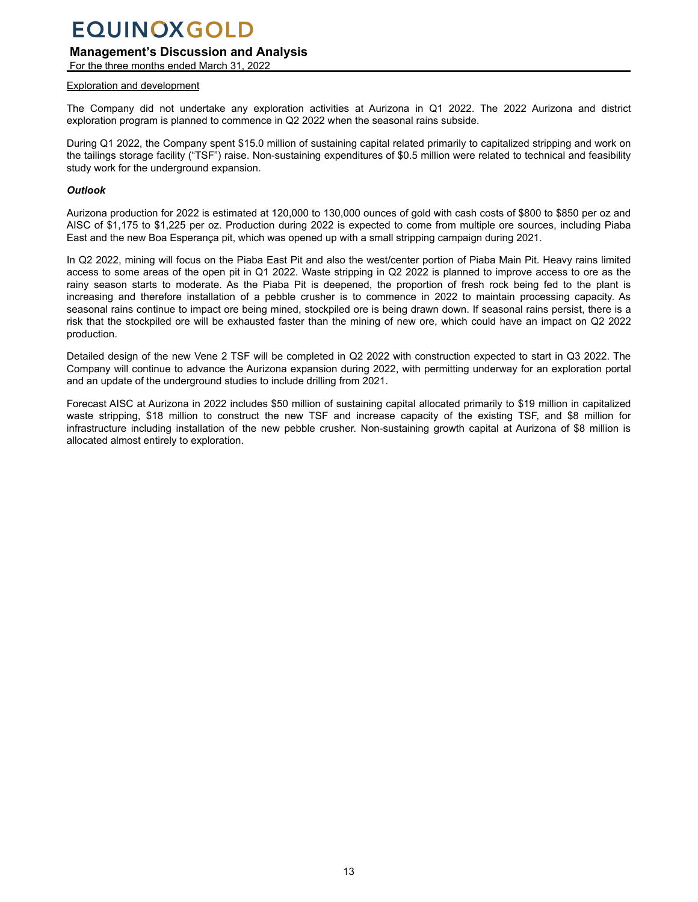### **Management's Discussion and Analysis**

For the three months ended March 31, 2022

#### Exploration and development

The Company did not undertake any exploration activities at Aurizona in Q1 2022. The 2022 Aurizona and district exploration program is planned to commence in Q2 2022 when the seasonal rains subside.

During Q1 2022, the Company spent \$15.0 million of sustaining capital related primarily to capitalized stripping and work on the tailings storage facility ("TSF") raise. Non-sustaining expenditures of \$0.5 million were related to technical and feasibility study work for the underground expansion.

#### *Outlook*

Aurizona production for 2022 is estimated at 120,000 to 130,000 ounces of gold with cash costs of \$800 to \$850 per oz and AISC of \$1,175 to \$1,225 per oz. Production during 2022 is expected to come from multiple ore sources, including Piaba East and the new Boa Esperança pit, which was opened up with a small stripping campaign during 2021.

In Q2 2022, mining will focus on the Piaba East Pit and also the west/center portion of Piaba Main Pit. Heavy rains limited access to some areas of the open pit in Q1 2022. Waste stripping in Q2 2022 is planned to improve access to ore as the rainy season starts to moderate. As the Piaba Pit is deepened, the proportion of fresh rock being fed to the plant is increasing and therefore installation of a pebble crusher is to commence in 2022 to maintain processing capacity. As seasonal rains continue to impact ore being mined, stockpiled ore is being drawn down. If seasonal rains persist, there is a risk that the stockpiled ore will be exhausted faster than the mining of new ore, which could have an impact on Q2 2022 production.

Detailed design of the new Vene 2 TSF will be completed in Q2 2022 with construction expected to start in Q3 2022. The Company will continue to advance the Aurizona expansion during 2022, with permitting underway for an exploration portal and an update of the underground studies to include drilling from 2021.

Forecast AISC at Aurizona in 2022 includes \$50 million of sustaining capital allocated primarily to \$19 million in capitalized waste stripping, \$18 million to construct the new TSF and increase capacity of the existing TSF, and \$8 million for infrastructure including installation of the new pebble crusher. Non-sustaining growth capital at Aurizona of \$8 million is allocated almost entirely to exploration.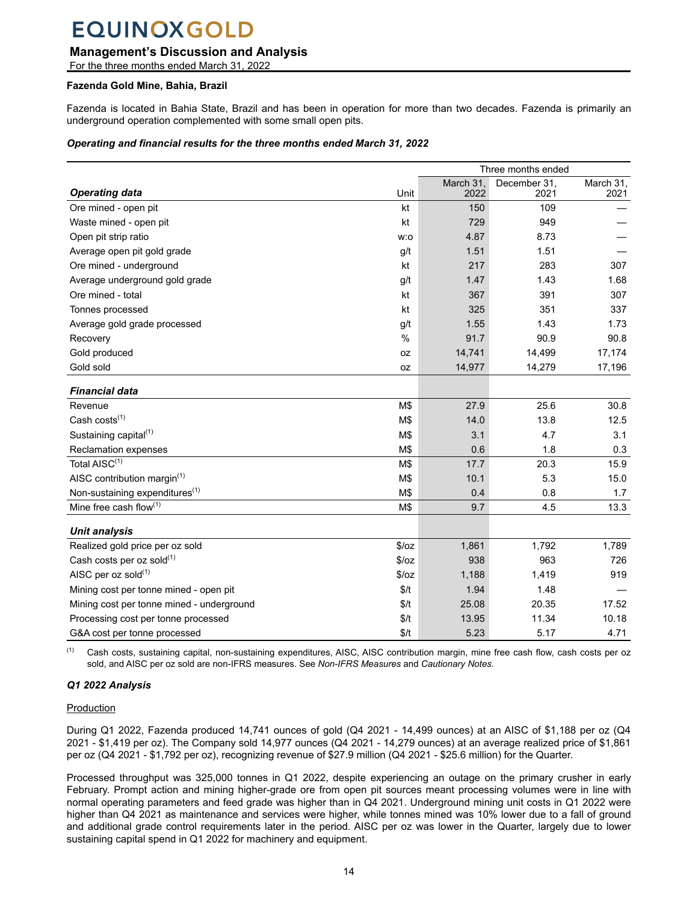### **Management's Discussion and Analysis**

For the three months ended March 31, 2022

#### **Fazenda Gold Mine, Bahia, Brazil**

Fazenda is located in Bahia State, Brazil and has been in operation for more than two decades. Fazenda is primarily an underground operation complemented with some small open pits.

#### *Operating and financial results for the three months ended March 31, 2022*

| Three months ended                         |               |                   |                      |                   |
|--------------------------------------------|---------------|-------------------|----------------------|-------------------|
| <b>Operating data</b>                      | Unit          | March 31.<br>2022 | December 31.<br>2021 | March 31,<br>2021 |
| Ore mined - open pit                       | kt            | 150               | 109                  |                   |
| Waste mined - open pit                     | kt            | 729               | 949                  |                   |
| Open pit strip ratio                       | w:o           | 4.87              | 8.73                 |                   |
| Average open pit gold grade                | g/t           | 1.51              | 1.51                 |                   |
| Ore mined - underground                    | kt            | 217               | 283                  | 307               |
| Average underground gold grade             | g/t           | 1.47              | 1.43                 | 1.68              |
| Ore mined - total                          | kt            | 367               | 391                  | 307               |
| Tonnes processed                           | kt            | 325               | 351                  | 337               |
| Average gold grade processed               | g/t           | 1.55              | 1.43                 | 1.73              |
| Recovery                                   | $\frac{0}{0}$ | 91.7              | 90.9                 | 90.8              |
| Gold produced                              | 0Z            | 14,741            | 14,499               | 17,174            |
| Gold sold                                  | 0Z            | 14,977            | 14,279               | 17,196            |
| <b>Financial data</b>                      |               |                   |                      |                   |
| Revenue                                    | M\$           | 27.9              | 25.6                 | 30.8              |
| Cash $costs(1)$                            | M\$           | 14.0              | 13.8                 | 12.5              |
| Sustaining capital <sup>(1)</sup>          | M\$           | 3.1               | 4.7                  | 3.1               |
| Reclamation expenses                       | M\$           | 0.6               | 1.8                  | 0.3               |
| Total AISC <sup>(1)</sup>                  | M\$           | 17.7              | 20.3                 | 15.9              |
| AISC contribution margin <sup>(1)</sup>    | M\$           | 10.1              | 5.3                  | 15.0              |
| Non-sustaining expenditures <sup>(1)</sup> | M\$           | 0.4               | 0.8                  | 1.7               |
| Mine free cash flow(1)                     | M\$           | 9.7               | 4.5                  | 13.3              |
| <b>Unit analysis</b>                       |               |                   |                      |                   |
| Realized gold price per oz sold            | \$/oz         | 1,861             | 1,792                | 1,789             |
| Cash costs per oz sold(1)                  | \$/oz         | 938               | 963                  | 726               |
| AISC per oz sold(1)                        | \$/oz         | 1,188             | 1,419                | 919               |
| Mining cost per tonne mined - open pit     | \$/t          | 1.94              | 1.48                 |                   |
| Mining cost per tonne mined - underground  | \$/t          | 25.08             | 20.35                | 17.52             |
| Processing cost per tonne processed        | \$/t          | 13.95             | 11.34                | 10.18             |
| G&A cost per tonne processed               | \$/t          | 5.23              | 5.17                 | 4.71              |

<sup>(1)</sup> Cash costs, sustaining capital, non-sustaining expenditures, AISC, AISC contribution margin, mine free cash flow, cash costs per oz sold, and AISC per oz sold are non-IFRS measures. See *Non-IFRS Measures* and *Cautionary Notes*.

### *Q1 2022 Analysis*

#### Production

During Q1 2022, Fazenda produced 14,741 ounces of gold (Q4 2021 - 14,499 ounces) at an AISC of \$1,188 per oz (Q4 2021 - \$1,419 per oz). The Company sold 14,977 ounces (Q4 2021 - 14,279 ounces) at an average realized price of \$1,861 per oz (Q4 2021 - \$1,792 per oz), recognizing revenue of \$27.9 million (Q4 2021 - \$25.6 million) for the Quarter.

Processed throughput was 325,000 tonnes in Q1 2022, despite experiencing an outage on the primary crusher in early February. Prompt action and mining higher-grade ore from open pit sources meant processing volumes were in line with normal operating parameters and feed grade was higher than in Q4 2021. Underground mining unit costs in Q1 2022 were higher than Q4 2021 as maintenance and services were higher, while tonnes mined was 10% lower due to a fall of ground and additional grade control requirements later in the period. AISC per oz was lower in the Quarter, largely due to lower sustaining capital spend in Q1 2022 for machinery and equipment.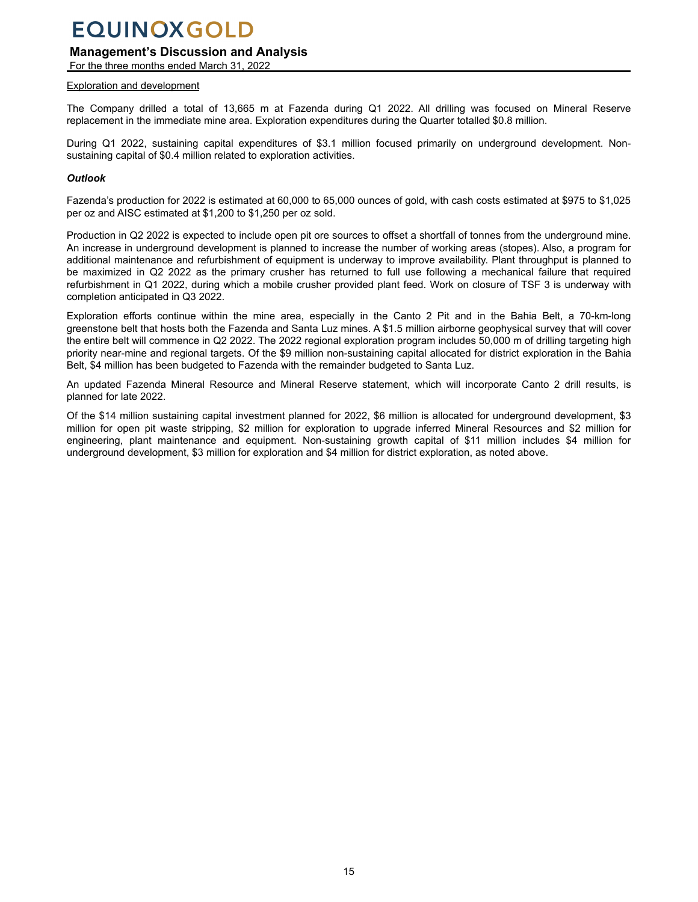### **Management's Discussion and Analysis**

For the three months ended March 31, 2022

#### Exploration and development

The Company drilled a total of 13,665 m at Fazenda during Q1 2022. All drilling was focused on Mineral Reserve replacement in the immediate mine area. Exploration expenditures during the Quarter totalled \$0.8 million.

During Q1 2022, sustaining capital expenditures of \$3.1 million focused primarily on underground development. Nonsustaining capital of \$0.4 million related to exploration activities.

#### *Outlook*

Fazenda's production for 2022 is estimated at 60,000 to 65,000 ounces of gold, with cash costs estimated at \$975 to \$1,025 per oz and AISC estimated at \$1,200 to \$1,250 per oz sold.

Production in Q2 2022 is expected to include open pit ore sources to offset a shortfall of tonnes from the underground mine. An increase in underground development is planned to increase the number of working areas (stopes). Also, a program for additional maintenance and refurbishment of equipment is underway to improve availability. Plant throughput is planned to be maximized in Q2 2022 as the primary crusher has returned to full use following a mechanical failure that required refurbishment in Q1 2022, during which a mobile crusher provided plant feed. Work on closure of TSF 3 is underway with completion anticipated in Q3 2022.

Exploration efforts continue within the mine area, especially in the Canto 2 Pit and in the Bahia Belt, a 70-km-long greenstone belt that hosts both the Fazenda and Santa Luz mines. A \$1.5 million airborne geophysical survey that will cover the entire belt will commence in Q2 2022. The 2022 regional exploration program includes 50,000 m of drilling targeting high priority near-mine and regional targets. Of the \$9 million non-sustaining capital allocated for district exploration in the Bahia Belt, \$4 million has been budgeted to Fazenda with the remainder budgeted to Santa Luz.

An updated Fazenda Mineral Resource and Mineral Reserve statement, which will incorporate Canto 2 drill results, is planned for late 2022.

Of the \$14 million sustaining capital investment planned for 2022, \$6 million is allocated for underground development, \$3 million for open pit waste stripping, \$2 million for exploration to upgrade inferred Mineral Resources and \$2 million for engineering, plant maintenance and equipment. Non-sustaining growth capital of \$11 million includes \$4 million for underground development, \$3 million for exploration and \$4 million for district exploration, as noted above.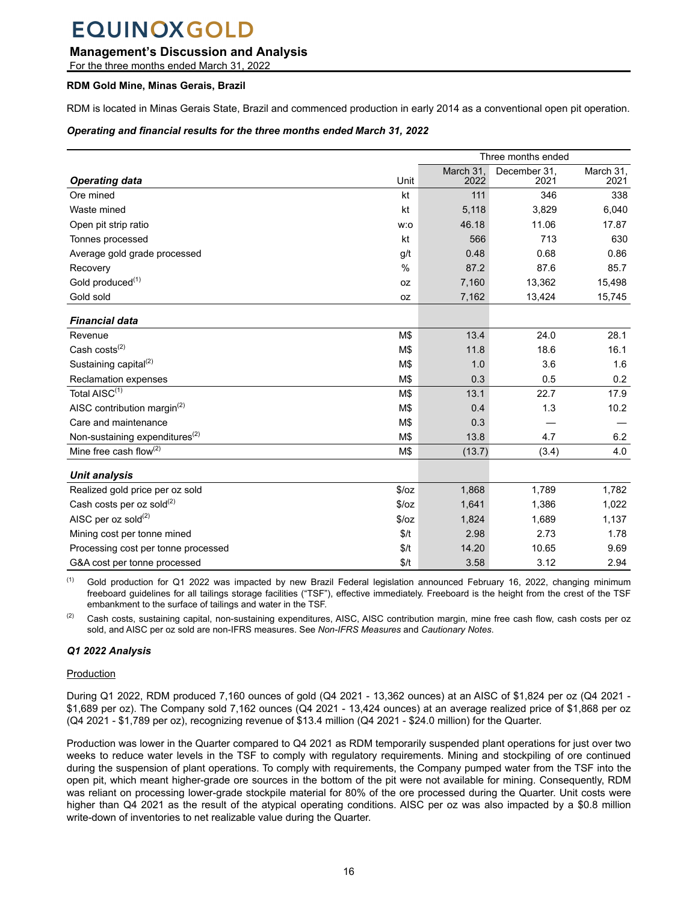### **Management's Discussion and Analysis**

For the three months ended March 31, 2022

#### **RDM Gold Mine, Minas Gerais, Brazil**

RDM is located in Minas Gerais State, Brazil and commenced production in early 2014 as a conventional open pit operation.

#### *Operating and financial results for the three months ended March 31, 2022*

|                                            | Three months ended                     |        |        |        |
|--------------------------------------------|----------------------------------------|--------|--------|--------|
|                                            | March 31,<br>December 31,<br>March 31, |        |        |        |
| <b>Operating data</b>                      | Unit                                   | 2022   | 2021   | 2021   |
| Ore mined                                  | kt                                     | 111    | 346    | 338    |
| Waste mined                                | kt                                     | 5,118  | 3,829  | 6,040  |
| Open pit strip ratio                       | w:o                                    | 46.18  | 11.06  | 17.87  |
| Tonnes processed                           | kt                                     | 566    | 713    | 630    |
| Average gold grade processed               | g/t                                    | 0.48   | 0.68   | 0.86   |
| Recovery                                   | $\%$                                   | 87.2   | 87.6   | 85.7   |
| Gold produced <sup>(1)</sup>               | 0Z                                     | 7,160  | 13,362 | 15,498 |
| Gold sold                                  | 0Z                                     | 7,162  | 13,424 | 15,745 |
| <b>Financial data</b>                      |                                        |        |        |        |
|                                            |                                        | 13.4   | 24.0   | 28.1   |
| Revenue                                    | M\$                                    |        |        |        |
| Cash costs <sup>(2)</sup>                  | M\$                                    | 11.8   | 18.6   | 16.1   |
| Sustaining capital <sup>(2)</sup>          | M\$                                    | 1.0    | 3.6    | 1.6    |
| Reclamation expenses                       | M\$                                    | 0.3    | 0.5    | 0.2    |
| Total AISC <sup>(1)</sup>                  | M\$                                    | 13.1   | 22.7   | 17.9   |
| AISC contribution margin <sup>(2)</sup>    | M\$                                    | 0.4    | 1.3    | 10.2   |
| Care and maintenance                       | M\$                                    | 0.3    |        |        |
| Non-sustaining expenditures <sup>(2)</sup> | M\$                                    | 13.8   | 4.7    | 6.2    |
| Mine free cash flow $^{(2)}$               | M\$                                    | (13.7) | (3.4)  | 4.0    |
| <b>Unit analysis</b>                       |                                        |        |        |        |
| Realized gold price per oz sold            | \$/oz                                  | 1,868  | 1,789  | 1,782  |
| Cash costs per oz sold $^{(2)}$            | \$/oz                                  | 1,641  | 1,386  | 1,022  |
| AISC per oz sold $^{(2)}$                  | \$/oz                                  | 1,824  | 1,689  | 1,137  |
| Mining cost per tonne mined                | \$/t                                   | 2.98   | 2.73   | 1.78   |
| Processing cost per tonne processed        | \$/t                                   | 14.20  | 10.65  | 9.69   |
| G&A cost per tonne processed               | \$/t                                   | 3.58   | 3.12   | 2.94   |

Gold production for Q1 2022 was impacted by new Brazil Federal legislation announced February 16, 2022, changing minimum freeboard guidelines for all tailings storage facilities ("TSF"), effective immediately. Freeboard is the height from the crest of the TSF embankment to the surface of tailings and water in the TSF.

<sup>(2)</sup> Cash costs, sustaining capital, non-sustaining expenditures, AISC, AISC contribution margin, mine free cash flow, cash costs per oz sold, and AISC per oz sold are non-IFRS measures. See *Non-IFRS Measures* and *Cautionary Notes*.

### *Q1 2022 Analysis*

#### Production

During Q1 2022, RDM produced 7,160 ounces of gold (Q4 2021 - 13,362 ounces) at an AISC of \$1,824 per oz (Q4 2021 - \$1,689 per oz). The Company sold 7,162 ounces (Q4 2021 - 13,424 ounces) at an average realized price of \$1,868 per oz (Q4 2021 - \$1,789 per oz), recognizing revenue of \$13.4 million (Q4 2021 - \$24.0 million) for the Quarter.

Production was lower in the Quarter compared to Q4 2021 as RDM temporarily suspended plant operations for just over two weeks to reduce water levels in the TSF to comply with regulatory requirements. Mining and stockpiling of ore continued during the suspension of plant operations. To comply with requirements, the Company pumped water from the TSF into the open pit, which meant higher-grade ore sources in the bottom of the pit were not available for mining. Consequently, RDM was reliant on processing lower-grade stockpile material for 80% of the ore processed during the Quarter. Unit costs were higher than Q4 2021 as the result of the atypical operating conditions. AISC per oz was also impacted by a \$0.8 million write-down of inventories to net realizable value during the Quarter.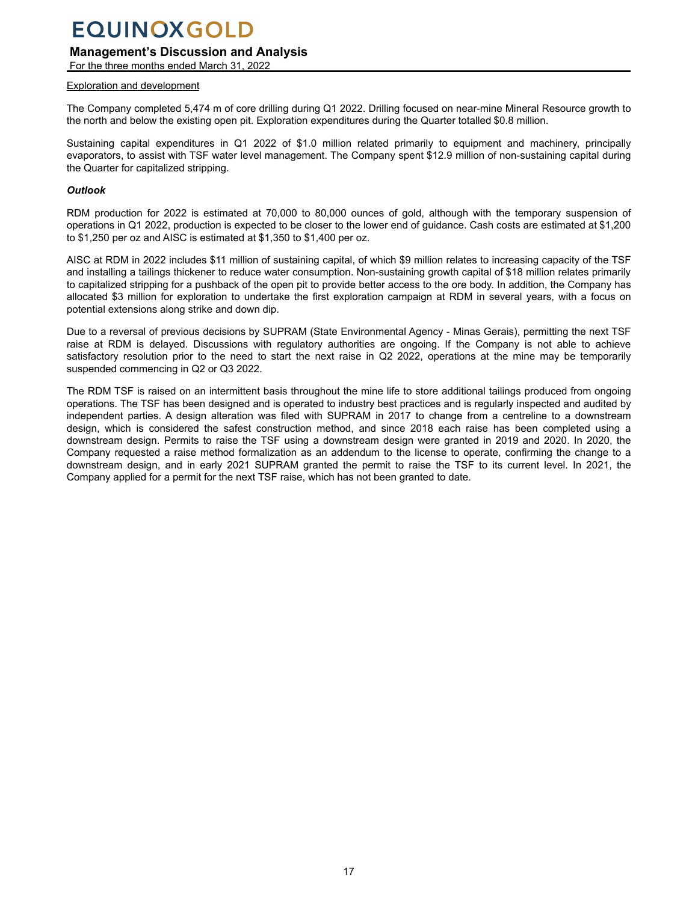### **Management's Discussion and Analysis**

For the three months ended March 31, 2022

#### Exploration and development

The Company completed 5,474 m of core drilling during Q1 2022. Drilling focused on near-mine Mineral Resource growth to the north and below the existing open pit. Exploration expenditures during the Quarter totalled \$0.8 million.

Sustaining capital expenditures in Q1 2022 of \$1.0 million related primarily to equipment and machinery, principally evaporators, to assist with TSF water level management. The Company spent \$12.9 million of non-sustaining capital during the Quarter for capitalized stripping.

#### *Outlook*

RDM production for 2022 is estimated at 70,000 to 80,000 ounces of gold, although with the temporary suspension of operations in Q1 2022, production is expected to be closer to the lower end of guidance. Cash costs are estimated at \$1,200 to \$1,250 per oz and AISC is estimated at \$1,350 to \$1,400 per oz.

AISC at RDM in 2022 includes \$11 million of sustaining capital, of which \$9 million relates to increasing capacity of the TSF and installing a tailings thickener to reduce water consumption. Non-sustaining growth capital of \$18 million relates primarily to capitalized stripping for a pushback of the open pit to provide better access to the ore body. In addition, the Company has allocated \$3 million for exploration to undertake the first exploration campaign at RDM in several years, with a focus on potential extensions along strike and down dip.

Due to a reversal of previous decisions by SUPRAM (State Environmental Agency - Minas Gerais), permitting the next TSF raise at RDM is delayed. Discussions with regulatory authorities are ongoing. If the Company is not able to achieve satisfactory resolution prior to the need to start the next raise in Q2 2022, operations at the mine may be temporarily suspended commencing in Q2 or Q3 2022.

The RDM TSF is raised on an intermittent basis throughout the mine life to store additional tailings produced from ongoing operations. The TSF has been designed and is operated to industry best practices and is regularly inspected and audited by independent parties. A design alteration was filed with SUPRAM in 2017 to change from a centreline to a downstream design, which is considered the safest construction method, and since 2018 each raise has been completed using a downstream design. Permits to raise the TSF using a downstream design were granted in 2019 and 2020. In 2020, the Company requested a raise method formalization as an addendum to the license to operate, confirming the change to a downstream design, and in early 2021 SUPRAM granted the permit to raise the TSF to its current level. In 2021, the Company applied for a permit for the next TSF raise, which has not been granted to date.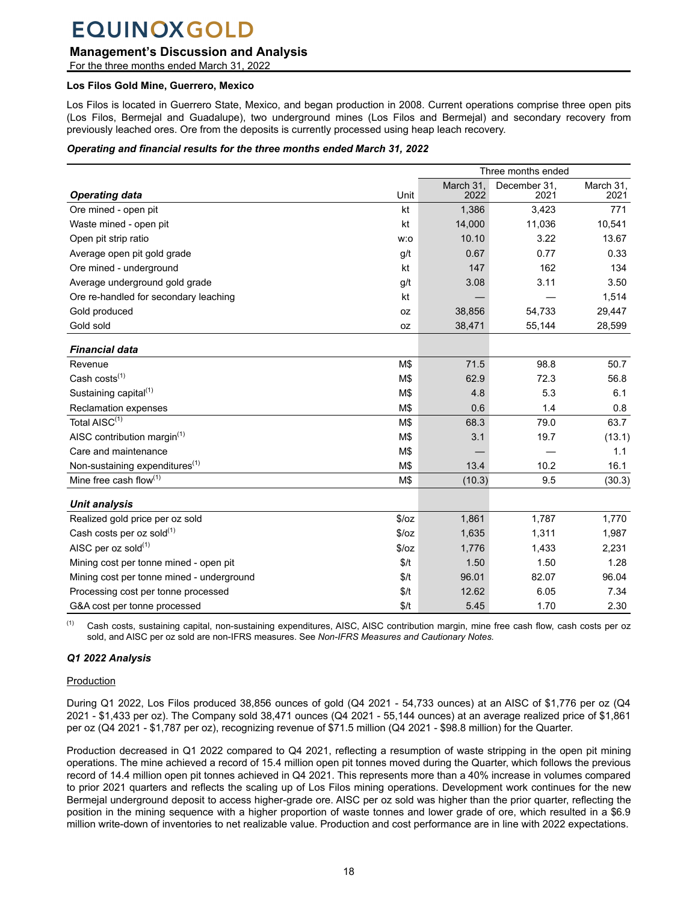### **Management's Discussion and Analysis**

For the three months ended March 31, 2022

#### **Los Filos Gold Mine, Guerrero, Mexico**

Los Filos is located in Guerrero State, Mexico, and began production in 2008. Current operations comprise three open pits (Los Filos, Bermejal and Guadalupe), two underground mines (Los Filos and Bermejal) and secondary recovery from previously leached ores. Ore from the deposits is currently processed using heap leach recovery.

#### *Operating and financial results for the three months ended March 31, 2022*

| Three months ended                         |       |                   |                      |                   |
|--------------------------------------------|-------|-------------------|----------------------|-------------------|
| <b>Operating data</b>                      | Unit  | March 31.<br>2022 | December 31,<br>2021 | March 31,<br>2021 |
| Ore mined - open pit                       | kt    | 1,386             | 3,423                | 771               |
| Waste mined - open pit                     | kt    | 14,000            | 11,036               | 10,541            |
| Open pit strip ratio                       | w:o   | 10.10             | 3.22                 | 13.67             |
| Average open pit gold grade                | g/t   | 0.67              | 0.77                 | 0.33              |
| Ore mined - underground                    | kt    | 147               | 162                  | 134               |
| Average underground gold grade             | g/t   | 3.08              | 3.11                 | 3.50              |
| Ore re-handled for secondary leaching      | kt    |                   |                      | 1,514             |
| Gold produced                              | 0Z    | 38,856            | 54,733               | 29,447            |
| Gold sold                                  | 0Z    | 38,471            | 55,144               | 28,599            |
| <b>Financial data</b>                      |       |                   |                      |                   |
| Revenue                                    | M\$   | 71.5              | 98.8                 | 50.7              |
| Cash costs <sup>(1)</sup>                  | M\$   | 62.9              | 72.3                 | 56.8              |
| Sustaining capital <sup>(1)</sup>          | M\$   | 4.8               | 5.3                  | 6.1               |
| <b>Reclamation expenses</b>                | M\$   | 0.6               | 1.4                  | 0.8               |
| Total AISC(1)                              | M\$   | 68.3              | 79.0                 | 63.7              |
| AISC contribution margin $(1)$             | M\$   | 3.1               | 19.7                 | (13.1)            |
| Care and maintenance                       | M\$   |                   |                      | 1.1               |
| Non-sustaining expenditures <sup>(1)</sup> | M\$   | 13.4              | 10.2                 | 16.1              |
| Mine free cash flow $(1)$                  | M\$   | (10.3)            | 9.5                  | (30.3)            |
| <b>Unit analysis</b>                       |       |                   |                      |                   |
| Realized gold price per oz sold            | \$/oz | 1,861             | 1,787                | 1,770             |
| Cash costs per oz sold(1)                  | \$/oz | 1,635             | 1,311                | 1,987             |
| AISC per oz sold(1)                        | \$/oz | 1,776             | 1,433                | 2,231             |
| Mining cost per tonne mined - open pit     | \$/t  | 1.50              | 1.50                 | 1.28              |
| Mining cost per tonne mined - underground  | \$/t  | 96.01             | 82.07                | 96.04             |
| Processing cost per tonne processed        | \$/t  | 12.62             | 6.05                 | 7.34              |
| G&A cost per tonne processed               | \$/t  | 5.45              | 1.70                 | 2.30              |

<sup>(1)</sup> Cash costs, sustaining capital, non-sustaining expenditures, AISC, AISC contribution margin, mine free cash flow, cash costs per oz sold, and AISC per oz sold are non-IFRS measures. See *Non-IFRS Measures and Cautionary Notes.*

### *Q1 2022 Analysis*

#### Production

During Q1 2022, Los Filos produced 38,856 ounces of gold (Q4 2021 - 54,733 ounces) at an AISC of \$1,776 per oz (Q4 2021 - \$1,433 per oz). The Company sold 38,471 ounces (Q4 2021 - 55,144 ounces) at an average realized price of \$1,861 per oz (Q4 2021 - \$1,787 per oz), recognizing revenue of \$71.5 million (Q4 2021 - \$98.8 million) for the Quarter.

Production decreased in Q1 2022 compared to Q4 2021, reflecting a resumption of waste stripping in the open pit mining operations. The mine achieved a record of 15.4 million open pit tonnes moved during the Quarter, which follows the previous record of 14.4 million open pit tonnes achieved in Q4 2021. This represents more than a 40% increase in volumes compared to prior 2021 quarters and reflects the scaling up of Los Filos mining operations. Development work continues for the new Bermejal underground deposit to access higher-grade ore. AISC per oz sold was higher than the prior quarter, reflecting the position in the mining sequence with a higher proportion of waste tonnes and lower grade of ore, which resulted in a \$6.9 million write-down of inventories to net realizable value. Production and cost performance are in line with 2022 expectations.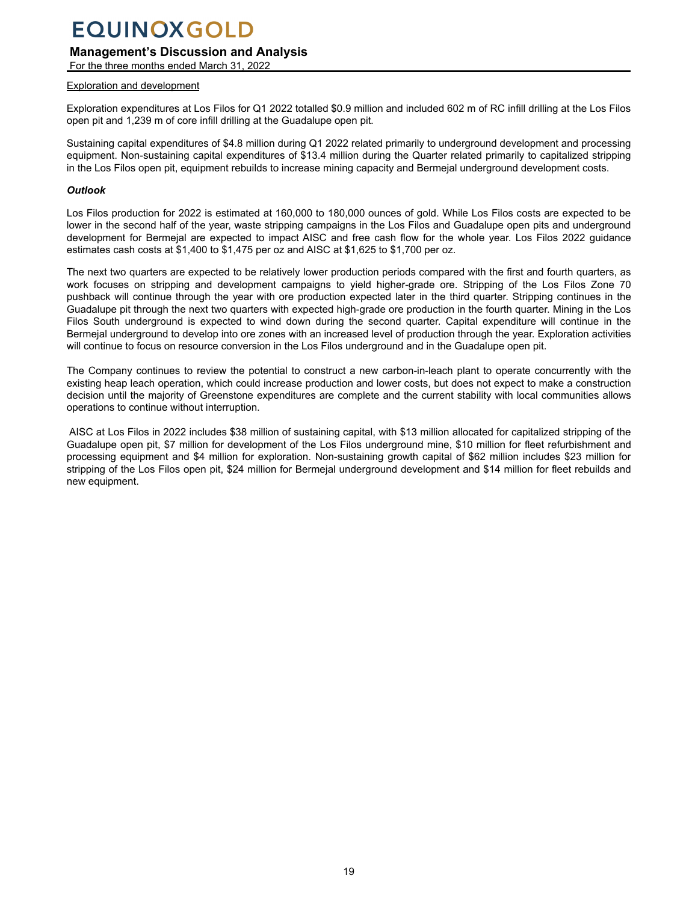## **Management's Discussion and Analysis**

For the three months ended March 31, 2022

### Exploration and development

Exploration expenditures at Los Filos for Q1 2022 totalled \$0.9 million and included 602 m of RC infill drilling at the Los Filos open pit and 1,239 m of core infill drilling at the Guadalupe open pit.

Sustaining capital expenditures of \$4.8 million during Q1 2022 related primarily to underground development and processing equipment. Non-sustaining capital expenditures of \$13.4 million during the Quarter related primarily to capitalized stripping in the Los Filos open pit, equipment rebuilds to increase mining capacity and Bermejal underground development costs.

#### *Outlook*

Los Filos production for 2022 is estimated at 160,000 to 180,000 ounces of gold. While Los Filos costs are expected to be lower in the second half of the year, waste stripping campaigns in the Los Filos and Guadalupe open pits and underground development for Bermejal are expected to impact AISC and free cash flow for the whole year. Los Filos 2022 guidance estimates cash costs at \$1,400 to \$1,475 per oz and AISC at \$1,625 to \$1,700 per oz.

The next two quarters are expected to be relatively lower production periods compared with the first and fourth quarters, as work focuses on stripping and development campaigns to yield higher-grade ore. Stripping of the Los Filos Zone 70 pushback will continue through the year with ore production expected later in the third quarter. Stripping continues in the Guadalupe pit through the next two quarters with expected high-grade ore production in the fourth quarter. Mining in the Los Filos South underground is expected to wind down during the second quarter. Capital expenditure will continue in the Bermejal underground to develop into ore zones with an increased level of production through the year. Exploration activities will continue to focus on resource conversion in the Los Filos underground and in the Guadalupe open pit.

The Company continues to review the potential to construct a new carbon-in-leach plant to operate concurrently with the existing heap leach operation, which could increase production and lower costs, but does not expect to make a construction decision until the majority of Greenstone expenditures are complete and the current stability with local communities allows operations to continue without interruption.

 AISC at Los Filos in 2022 includes \$38 million of sustaining capital, with \$13 million allocated for capitalized stripping of the Guadalupe open pit, \$7 million for development of the Los Filos underground mine, \$10 million for fleet refurbishment and processing equipment and \$4 million for exploration. Non-sustaining growth capital of \$62 million includes \$23 million for stripping of the Los Filos open pit, \$24 million for Bermejal underground development and \$14 million for fleet rebuilds and new equipment.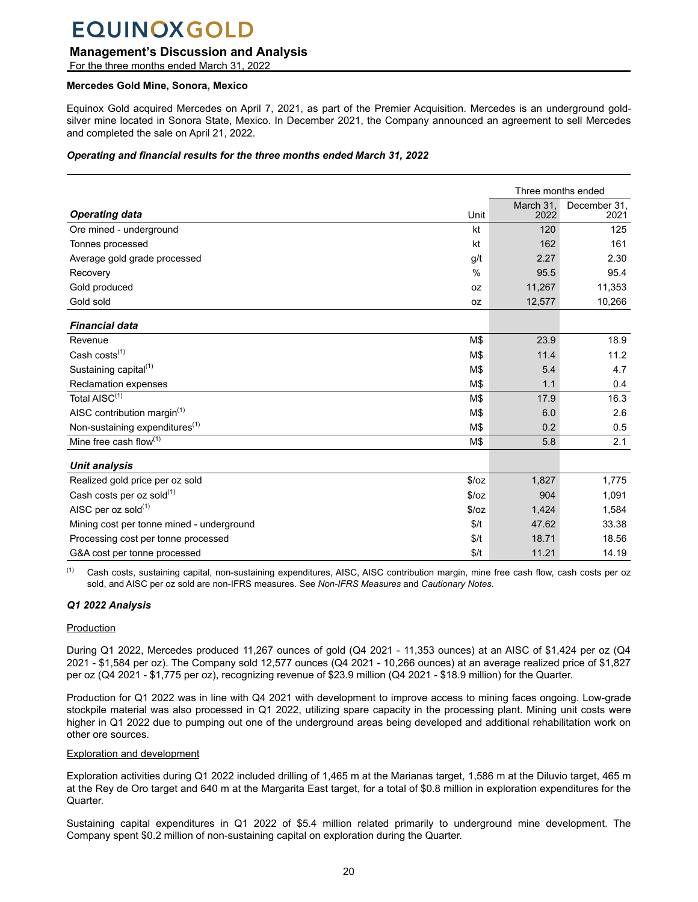### **Management's Discussion and Analysis**

For the three months ended March 31, 2022

#### **Mercedes Gold Mine, Sonora, Mexico**

Equinox Gold acquired Mercedes on April 7, 2021, as part of the Premier Acquisition. Mercedes is an underground goldsilver mine located in Sonora State, Mexico. In December 2021, the Company announced an agreement to sell Mercedes and completed the sale on April 21, 2022.

#### *Operating and financial results for the three months ended March 31, 2022*

| Three months ended                         |               |                   |                      |
|--------------------------------------------|---------------|-------------------|----------------------|
|                                            | Unit          | March 31.<br>2022 | December 31.<br>2021 |
| <b>Operating data</b>                      |               |                   |                      |
| Ore mined - underground                    | kt            | 120               | 125                  |
| Tonnes processed                           | kt            | 162               | 161                  |
| Average gold grade processed               | g/t           | 2.27              | 2.30                 |
| Recovery                                   | $\frac{0}{0}$ | 95.5              | 95.4                 |
| Gold produced                              | <b>OZ</b>     | 11,267            | 11,353               |
| Gold sold                                  | <b>OZ</b>     | 12,577            | 10,266               |
| <b>Financial data</b>                      |               |                   |                      |
| Revenue                                    | M\$           | 23.9              | 18.9                 |
| Cash $costs^{(1)}$                         | M\$           | 11.4              | 11.2                 |
| Sustaining capital <sup>(1)</sup>          | M\$           | 5.4               | 4.7                  |
| Reclamation expenses                       | M\$           | 1.1               | 0.4                  |
| Total AISC <sup>(1)</sup>                  | M\$           | 17.9              | 16.3                 |
| AISC contribution margin <sup>(1)</sup>    | M\$           | 6.0               | 2.6                  |
| Non-sustaining expenditures <sup>(1)</sup> | M\$           | 0.2               | 0.5                  |
| Mine free cash flow(1)                     | M\$           | 5.8               | 2.1                  |
| <b>Unit analysis</b>                       |               |                   |                      |
| Realized gold price per oz sold            | \$/oz         | 1,827             | 1,775                |
| Cash costs per oz sold(1)                  | \$/oz         | 904               | 1,091                |
| AISC per oz sold(1)                        | \$/oz         | 1,424             | 1,584                |
| Mining cost per tonne mined - underground  | \$/t          | 47.62             | 33.38                |
| Processing cost per tonne processed        | \$/t          | 18.71             | 18.56                |
| G&A cost per tonne processed               | \$/t          | 11.21             | 14.19                |

Cash costs, sustaining capital, non-sustaining expenditures, AISC, AISC contribution margin, mine free cash flow, cash costs per oz sold, and AISC per oz sold are non-IFRS measures. See *Non-IFRS Measures* and *Cautionary Notes*.

#### *Q1 2022 Analysis*

#### Production

During Q1 2022, Mercedes produced 11,267 ounces of gold (Q4 2021 - 11,353 ounces) at an AISC of \$1,424 per oz (Q4 2021 - \$1,584 per oz). The Company sold 12,577 ounces (Q4 2021 - 10,266 ounces) at an average realized price of \$1,827 per oz (Q4 2021 - \$1,775 per oz), recognizing revenue of \$23.9 million (Q4 2021 - \$18.9 million) for the Quarter.

Production for Q1 2022 was in line with Q4 2021 with development to improve access to mining faces ongoing. Low-grade stockpile material was also processed in Q1 2022, utilizing spare capacity in the processing plant. Mining unit costs were higher in Q1 2022 due to pumping out one of the underground areas being developed and additional rehabilitation work on other ore sources.

#### Exploration and development

Exploration activities during Q1 2022 included drilling of 1,465 m at the Marianas target, 1,586 m at the Diluvio target, 465 m at the Rey de Oro target and 640 m at the Margarita East target, for a total of \$0.8 million in exploration expenditures for the Quarter.

Sustaining capital expenditures in Q1 2022 of \$5.4 million related primarily to underground mine development. The Company spent \$0.2 million of non-sustaining capital on exploration during the Quarter.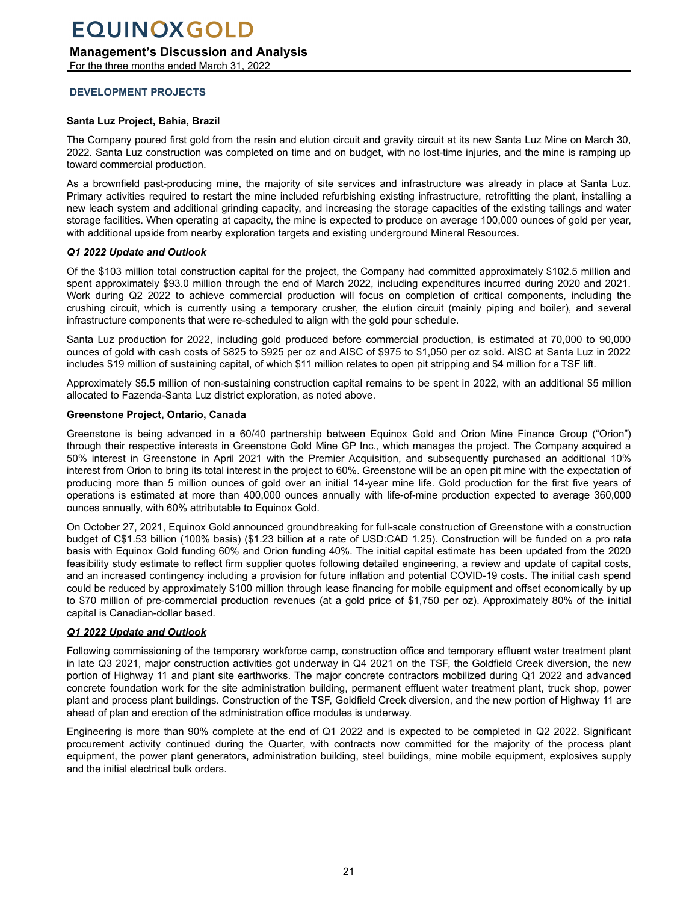<span id="page-20-0"></span>**Management's Discussion and Analysis**

For the three months ended March 31, 2022

#### **DEVELOPMENT PROJECTS**

#### **Santa Luz Project, Bahia, Brazil**

The Company poured first gold from the resin and elution circuit and gravity circuit at its new Santa Luz Mine on March 30, 2022. Santa Luz construction was completed on time and on budget, with no lost-time injuries, and the mine is ramping up toward commercial production.

As a brownfield past-producing mine, the majority of site services and infrastructure was already in place at Santa Luz. Primary activities required to restart the mine included refurbishing existing infrastructure, retrofitting the plant, installing a new leach system and additional grinding capacity, and increasing the storage capacities of the existing tailings and water storage facilities. When operating at capacity, the mine is expected to produce on average 100,000 ounces of gold per year, with additional upside from nearby exploration targets and existing underground Mineral Resources.

#### *Q1 2022 Update and Outlook*

Of the \$103 million total construction capital for the project, the Company had committed approximately \$102.5 million and spent approximately \$93.0 million through the end of March 2022, including expenditures incurred during 2020 and 2021. Work during Q2 2022 to achieve commercial production will focus on completion of critical components, including the crushing circuit, which is currently using a temporary crusher, the elution circuit (mainly piping and boiler), and several infrastructure components that were re-scheduled to align with the gold pour schedule.

Santa Luz production for 2022, including gold produced before commercial production, is estimated at 70,000 to 90,000 ounces of gold with cash costs of \$825 to \$925 per oz and AISC of \$975 to \$1,050 per oz sold. AISC at Santa Luz in 2022 includes \$19 million of sustaining capital, of which \$11 million relates to open pit stripping and \$4 million for a TSF lift.

Approximately \$5.5 million of non-sustaining construction capital remains to be spent in 2022, with an additional \$5 million allocated to Fazenda-Santa Luz district exploration, as noted above.

#### **Greenstone Project, Ontario, Canada**

Greenstone is being advanced in a 60/40 partnership between Equinox Gold and Orion Mine Finance Group ("Orion") through their respective interests in Greenstone Gold Mine GP Inc., which manages the project. The Company acquired a 50% interest in Greenstone in April 2021 with the Premier Acquisition, and subsequently purchased an additional 10% interest from Orion to bring its total interest in the project to 60%. Greenstone will be an open pit mine with the expectation of producing more than 5 million ounces of gold over an initial 14-year mine life. Gold production for the first five years of operations is estimated at more than 400,000 ounces annually with life-of-mine production expected to average 360,000 ounces annually, with 60% attributable to Equinox Gold.

On October 27, 2021, Equinox Gold announced groundbreaking for full-scale construction of Greenstone with a construction budget of C\$1.53 billion (100% basis) (\$1.23 billion at a rate of USD:CAD 1.25). Construction will be funded on a pro rata basis with Equinox Gold funding 60% and Orion funding 40%. The initial capital estimate has been updated from the 2020 feasibility study estimate to reflect firm supplier quotes following detailed engineering, a review and update of capital costs, and an increased contingency including a provision for future inflation and potential COVID-19 costs. The initial cash spend could be reduced by approximately \$100 million through lease financing for mobile equipment and offset economically by up to \$70 million of pre-commercial production revenues (at a gold price of \$1,750 per oz). Approximately 80% of the initial capital is Canadian-dollar based.

#### *Q1 2022 Update and Outlook*

Following commissioning of the temporary workforce camp, construction office and temporary effluent water treatment plant in late Q3 2021, major construction activities got underway in Q4 2021 on the TSF, the Goldfield Creek diversion, the new portion of Highway 11 and plant site earthworks. The major concrete contractors mobilized during Q1 2022 and advanced concrete foundation work for the site administration building, permanent effluent water treatment plant, truck shop, power plant and process plant buildings. Construction of the TSF, Goldfield Creek diversion, and the new portion of Highway 11 are ahead of plan and erection of the administration office modules is underway.

Engineering is more than 90% complete at the end of Q1 2022 and is expected to be completed in Q2 2022. Significant procurement activity continued during the Quarter, with contracts now committed for the majority of the process plant equipment, the power plant generators, administration building, steel buildings, mine mobile equipment, explosives supply and the initial electrical bulk orders.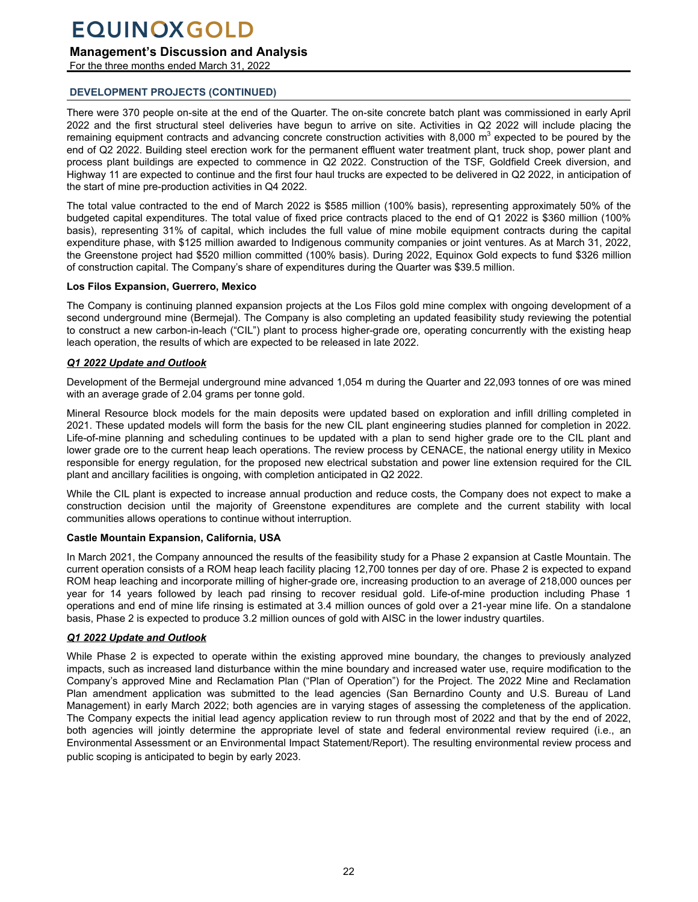### **Management's Discussion and Analysis**

For the three months ended March 31, 2022

#### **DEVELOPMENT PROJECTS (CONTINUED)**

There were 370 people on-site at the end of the Quarter. The on-site concrete batch plant was commissioned in early April 2022 and the first structural steel deliveries have begun to arrive on site. Activities in Q2 2022 will include placing the remaining equipment contracts and advancing concrete construction activities with 8,000 m<sup>3</sup> expected to be poured by the end of Q2 2022. Building steel erection work for the permanent effluent water treatment plant, truck shop, power plant and process plant buildings are expected to commence in Q2 2022. Construction of the TSF, Goldfield Creek diversion, and Highway 11 are expected to continue and the first four haul trucks are expected to be delivered in Q2 2022, in anticipation of the start of mine pre-production activities in Q4 2022.

The total value contracted to the end of March 2022 is \$585 million (100% basis), representing approximately 50% of the budgeted capital expenditures. The total value of fixed price contracts placed to the end of Q1 2022 is \$360 million (100% basis), representing 31% of capital, which includes the full value of mine mobile equipment contracts during the capital expenditure phase, with \$125 million awarded to Indigenous community companies or joint ventures. As at March 31, 2022, the Greenstone project had \$520 million committed (100% basis). During 2022, Equinox Gold expects to fund \$326 million of construction capital. The Company's share of expenditures during the Quarter was \$39.5 million.

#### **Los Filos Expansion, Guerrero, Mexico**

The Company is continuing planned expansion projects at the Los Filos gold mine complex with ongoing development of a second underground mine (Bermejal). The Company is also completing an updated feasibility study reviewing the potential to construct a new carbon-in-leach ("CIL") plant to process higher-grade ore, operating concurrently with the existing heap leach operation, the results of which are expected to be released in late 2022.

#### *Q1 2022 Update and Outlook*

Development of the Bermejal underground mine advanced 1,054 m during the Quarter and 22,093 tonnes of ore was mined with an average grade of 2.04 grams per tonne gold.

Mineral Resource block models for the main deposits were updated based on exploration and infill drilling completed in 2021. These updated models will form the basis for the new CIL plant engineering studies planned for completion in 2022. Life-of-mine planning and scheduling continues to be updated with a plan to send higher grade ore to the CIL plant and lower grade ore to the current heap leach operations. The review process by CENACE, the national energy utility in Mexico responsible for energy regulation, for the proposed new electrical substation and power line extension required for the CIL plant and ancillary facilities is ongoing, with completion anticipated in Q2 2022.

While the CIL plant is expected to increase annual production and reduce costs, the Company does not expect to make a construction decision until the majority of Greenstone expenditures are complete and the current stability with local communities allows operations to continue without interruption.

#### **Castle Mountain Expansion, California, USA**

In March 2021, the Company announced the results of the feasibility study for a Phase 2 expansion at Castle Mountain. The current operation consists of a ROM heap leach facility placing 12,700 tonnes per day of ore. Phase 2 is expected to expand ROM heap leaching and incorporate milling of higher-grade ore, increasing production to an average of 218,000 ounces per year for 14 years followed by leach pad rinsing to recover residual gold. Life-of-mine production including Phase 1 operations and end of mine life rinsing is estimated at 3.4 million ounces of gold over a 21-year mine life. On a standalone basis, Phase 2 is expected to produce 3.2 million ounces of gold with AISC in the lower industry quartiles.

#### *Q1 2022 Update and Outlook*

While Phase 2 is expected to operate within the existing approved mine boundary, the changes to previously analyzed impacts, such as increased land disturbance within the mine boundary and increased water use, require modification to the Company's approved Mine and Reclamation Plan ("Plan of Operation") for the Project. The 2022 Mine and Reclamation Plan amendment application was submitted to the lead agencies (San Bernardino County and U.S. Bureau of Land Management) in early March 2022; both agencies are in varying stages of assessing the completeness of the application. The Company expects the initial lead agency application review to run through most of 2022 and that by the end of 2022, both agencies will jointly determine the appropriate level of state and federal environmental review required (i.e., an Environmental Assessment or an Environmental Impact Statement/Report). The resulting environmental review process and public scoping is anticipated to begin by early 2023.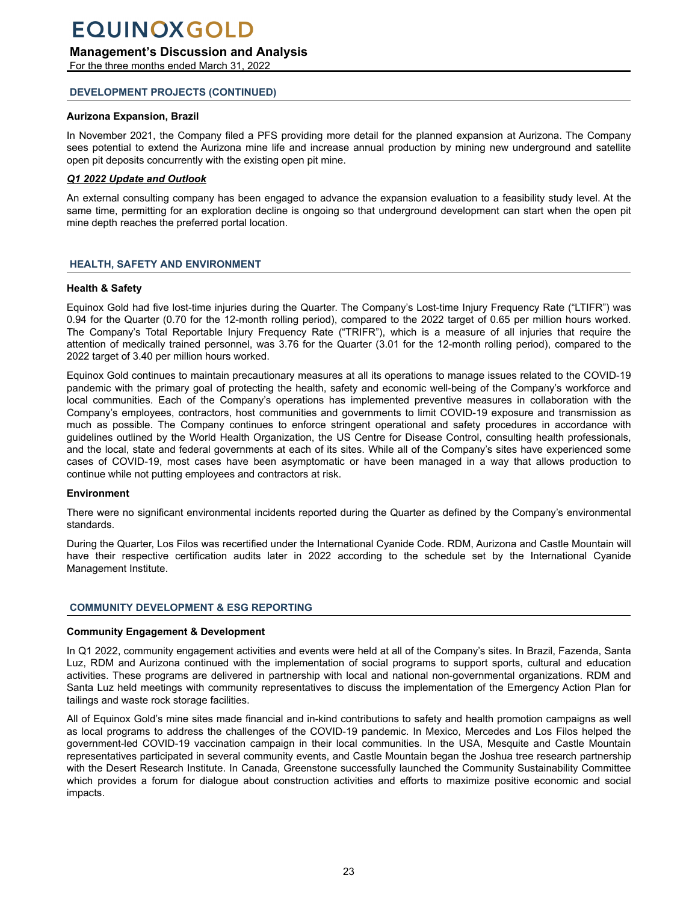### <span id="page-22-0"></span>**Management's Discussion and Analysis**

For the three months ended March 31, 2022

#### **DEVELOPMENT PROJECTS (CONTINUED)**

#### **Aurizona Expansion, Brazil**

In November 2021, the Company filed a PFS providing more detail for the planned expansion at Aurizona. The Company sees potential to extend the Aurizona mine life and increase annual production by mining new underground and satellite open pit deposits concurrently with the existing open pit mine.

#### *Q1 2022 Update and Outlook*

An external consulting company has been engaged to advance the expansion evaluation to a feasibility study level. At the same time, permitting for an exploration decline is ongoing so that underground development can start when the open pit mine depth reaches the preferred portal location.

#### **HEALTH, SAFETY AND ENVIRONMENT**

#### **Health & Safety**

Equinox Gold had five lost-time injuries during the Quarter. The Company's Lost-time Injury Frequency Rate ("LTIFR") was 0.94 for the Quarter (0.70 for the 12-month rolling period), compared to the 2022 target of 0.65 per million hours worked. The Company's Total Reportable Injury Frequency Rate ("TRIFR"), which is a measure of all injuries that require the attention of medically trained personnel, was 3.76 for the Quarter (3.01 for the 12-month rolling period), compared to the 2022 target of 3.40 per million hours worked.

Equinox Gold continues to maintain precautionary measures at all its operations to manage issues related to the COVID-19 pandemic with the primary goal of protecting the health, safety and economic well-being of the Company's workforce and local communities. Each of the Company's operations has implemented preventive measures in collaboration with the Company's employees, contractors, host communities and governments to limit COVID-19 exposure and transmission as much as possible. The Company continues to enforce stringent operational and safety procedures in accordance with guidelines outlined by the World Health Organization, the US Centre for Disease Control, consulting health professionals, and the local, state and federal governments at each of its sites. While all of the Company's sites have experienced some cases of COVID-19, most cases have been asymptomatic or have been managed in a way that allows production to continue while not putting employees and contractors at risk.

#### **Environment**

There were no significant environmental incidents reported during the Quarter as defined by the Company's environmental standards.

During the Quarter, Los Filos was recertified under the International Cyanide Code. RDM, Aurizona and Castle Mountain will have their respective certification audits later in 2022 according to the schedule set by the International Cyanide Management Institute.

#### **COMMUNITY DEVELOPMENT & ESG REPORTING**

#### **Community Engagement & Development**

In Q1 2022, community engagement activities and events were held at all of the Company's sites. In Brazil, Fazenda, Santa Luz, RDM and Aurizona continued with the implementation of social programs to support sports, cultural and education activities. These programs are delivered in partnership with local and national non-governmental organizations. RDM and Santa Luz held meetings with community representatives to discuss the implementation of the Emergency Action Plan for tailings and waste rock storage facilities.

All of Equinox Gold's mine sites made financial and in-kind contributions to safety and health promotion campaigns as well as local programs to address the challenges of the COVID-19 pandemic. In Mexico, Mercedes and Los Filos helped the government-led COVID-19 vaccination campaign in their local communities. In the USA, Mesquite and Castle Mountain representatives participated in several community events, and Castle Mountain began the Joshua tree research partnership with the Desert Research Institute. In Canada, Greenstone successfully launched the Community Sustainability Committee which provides a forum for dialogue about construction activities and efforts to maximize positive economic and social impacts.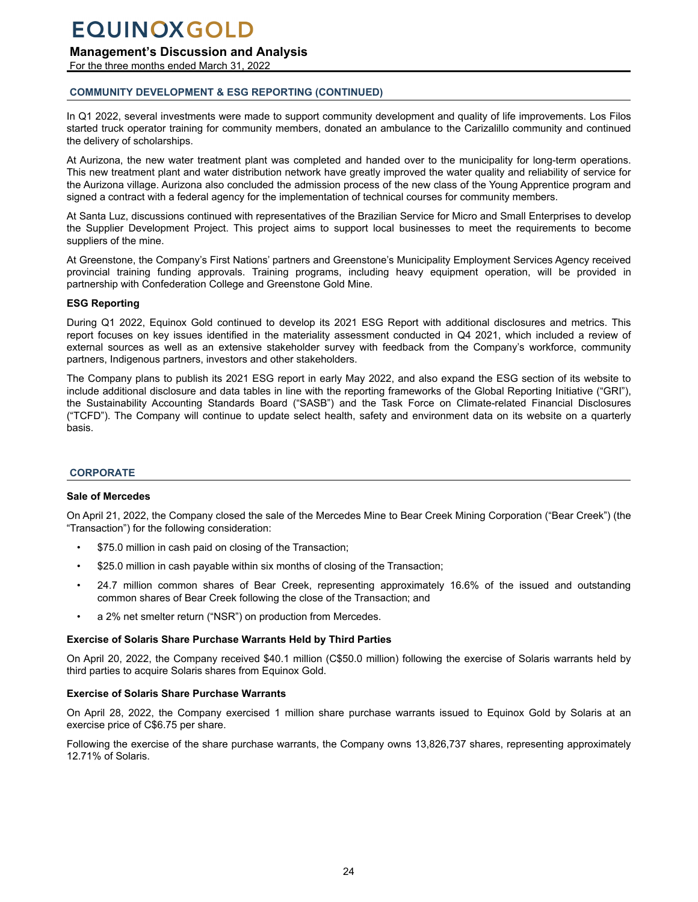## <span id="page-23-0"></span>**Management's Discussion and Analysis**

For the three months ended March 31, 2022

### **COMMUNITY DEVELOPMENT & ESG REPORTING (CONTINUED)**

In Q1 2022, several investments were made to support community development and quality of life improvements. Los Filos started truck operator training for community members, donated an ambulance to the Carizalillo community and continued the delivery of scholarships.

At Aurizona, the new water treatment plant was completed and handed over to the municipality for long-term operations. This new treatment plant and water distribution network have greatly improved the water quality and reliability of service for the Aurizona village. Aurizona also concluded the admission process of the new class of the Young Apprentice program and signed a contract with a federal agency for the implementation of technical courses for community members.

At Santa Luz, discussions continued with representatives of the Brazilian Service for Micro and Small Enterprises to develop the Supplier Development Project. This project aims to support local businesses to meet the requirements to become suppliers of the mine.

At Greenstone, the Company's First Nations' partners and Greenstone's Municipality Employment Services Agency received provincial training funding approvals. Training programs, including heavy equipment operation, will be provided in partnership with Confederation College and Greenstone Gold Mine.

#### **ESG Reporting**

During Q1 2022, Equinox Gold continued to develop its 2021 ESG Report with additional disclosures and metrics. This report focuses on key issues identified in the materiality assessment conducted in Q4 2021, which included a review of external sources as well as an extensive stakeholder survey with feedback from the Company's workforce, community partners, Indigenous partners, investors and other stakeholders.

The Company plans to publish its 2021 ESG report in early May 2022, and also expand the ESG section of its website to include additional disclosure and data tables in line with the reporting frameworks of the Global Reporting Initiative ("GRI"), the Sustainability Accounting Standards Board ("SASB") and the Task Force on Climate-related Financial Disclosures ("TCFD"). The Company will continue to update select health, safety and environment data on its website on a quarterly basis.

### **CORPORATE**

#### **Sale of Mercedes**

On April 21, 2022, the Company closed the sale of the Mercedes Mine to Bear Creek Mining Corporation ("Bear Creek") (the "Transaction") for the following consideration:

- \$75.0 million in cash paid on closing of the Transaction;
- \$25.0 million in cash payable within six months of closing of the Transaction;
- 24.7 million common shares of Bear Creek, representing approximately 16.6% of the issued and outstanding common shares of Bear Creek following the close of the Transaction; and
- a 2% net smelter return ("NSR") on production from Mercedes.

#### **Exercise of Solaris Share Purchase Warrants Held by Third Parties**

On April 20, 2022, the Company received \$40.1 million (C\$50.0 million) following the exercise of Solaris warrants held by third parties to acquire Solaris shares from Equinox Gold.

#### **Exercise of Solaris Share Purchase Warrants**

On April 28, 2022, the Company exercised 1 million share purchase warrants issued to Equinox Gold by Solaris at an exercise price of C\$6.75 per share.

Following the exercise of the share purchase warrants, the Company owns 13,826,737 shares, representing approximately 12.71% of Solaris.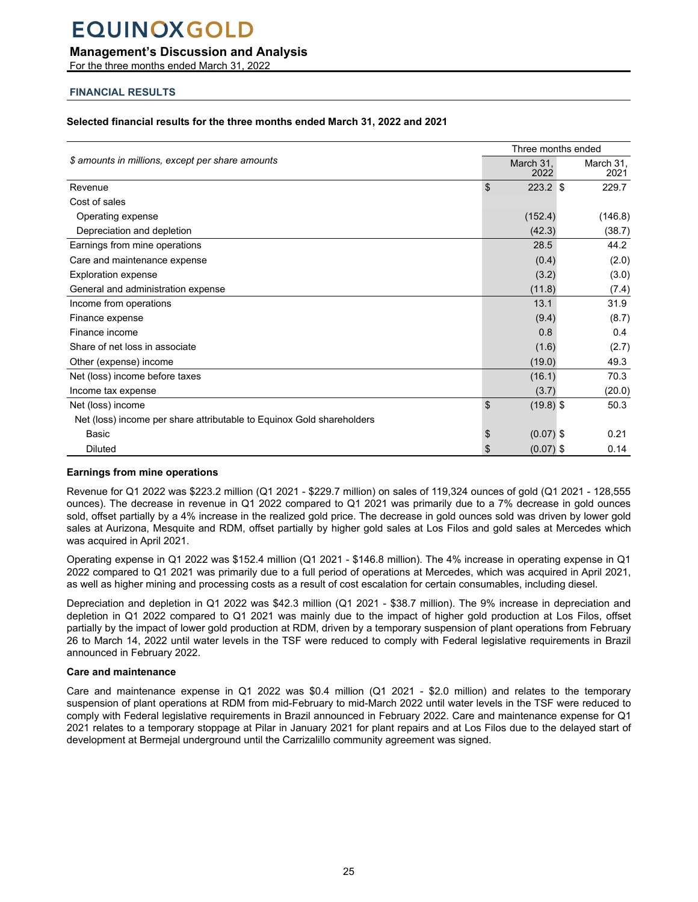### <span id="page-24-0"></span>**Management's Discussion and Analysis**

For the three months ended March 31, 2022

### **FINANCIAL RESULTS**

#### **Selected financial results for the three months ended March 31, 2022 and 2021**

|                                                                       |    | Three months ended |  |                   |  |
|-----------------------------------------------------------------------|----|--------------------|--|-------------------|--|
| \$ amounts in millions, except per share amounts                      |    | March 31,<br>2022  |  | March 31,<br>2021 |  |
| Revenue                                                               | \$ | $223.2$ \$         |  | 229.7             |  |
| Cost of sales                                                         |    |                    |  |                   |  |
| Operating expense                                                     |    | (152.4)            |  | (146.8)           |  |
| Depreciation and depletion                                            |    | (42.3)             |  | (38.7)            |  |
| Earnings from mine operations                                         |    | 28.5               |  | 44.2              |  |
| Care and maintenance expense                                          |    | (0.4)              |  | (2.0)             |  |
| <b>Exploration expense</b>                                            |    | (3.2)              |  | (3.0)             |  |
| General and administration expense                                    |    | (11.8)             |  | (7.4)             |  |
| Income from operations                                                |    | 13.1               |  | 31.9              |  |
| Finance expense                                                       |    | (9.4)              |  | (8.7)             |  |
| Finance income                                                        |    | 0.8                |  | 0.4               |  |
| Share of net loss in associate                                        |    | (1.6)              |  | (2.7)             |  |
| Other (expense) income                                                |    | (19.0)             |  | 49.3              |  |
| Net (loss) income before taxes                                        |    | (16.1)             |  | 70.3              |  |
| Income tax expense                                                    |    | (3.7)              |  | (20.0)            |  |
| Net (loss) income                                                     | \$ | $(19.8)$ \$        |  | 50.3              |  |
| Net (loss) income per share attributable to Equinox Gold shareholders |    |                    |  |                   |  |
| <b>Basic</b>                                                          | \$ | $(0.07)$ \$        |  | 0.21              |  |
| Diluted                                                               | \$ | $(0.07)$ \$        |  | 0.14              |  |

#### **Earnings from mine operations**

Revenue for Q1 2022 was \$223.2 million (Q1 2021 - \$229.7 million) on sales of 119,324 ounces of gold (Q1 2021 - 128,555 ounces). The decrease in revenue in Q1 2022 compared to Q1 2021 was primarily due to a 7% decrease in gold ounces sold, offset partially by a 4% increase in the realized gold price. The decrease in gold ounces sold was driven by lower gold sales at Aurizona, Mesquite and RDM, offset partially by higher gold sales at Los Filos and gold sales at Mercedes which was acquired in April 2021.

Operating expense in Q1 2022 was \$152.4 million (Q1 2021 - \$146.8 million). The 4% increase in operating expense in Q1 2022 compared to Q1 2021 was primarily due to a full period of operations at Mercedes, which was acquired in April 2021, as well as higher mining and processing costs as a result of cost escalation for certain consumables, including diesel.

Depreciation and depletion in Q1 2022 was \$42.3 million (Q1 2021 - \$38.7 million). The 9% increase in depreciation and depletion in Q1 2022 compared to Q1 2021 was mainly due to the impact of higher gold production at Los Filos, offset partially by the impact of lower gold production at RDM, driven by a temporary suspension of plant operations from February 26 to March 14, 2022 until water levels in the TSF were reduced to comply with Federal legislative requirements in Brazil announced in February 2022.

#### **Care and maintenance**

Care and maintenance expense in Q1 2022 was \$0.4 million (Q1 2021 - \$2.0 million) and relates to the temporary suspension of plant operations at RDM from mid-February to mid-March 2022 until water levels in the TSF were reduced to comply with Federal legislative requirements in Brazil announced in February 2022. Care and maintenance expense for Q1 2021 relates to a temporary stoppage at Pilar in January 2021 for plant repairs and at Los Filos due to the delayed start of development at Bermejal underground until the Carrizalillo community agreement was signed.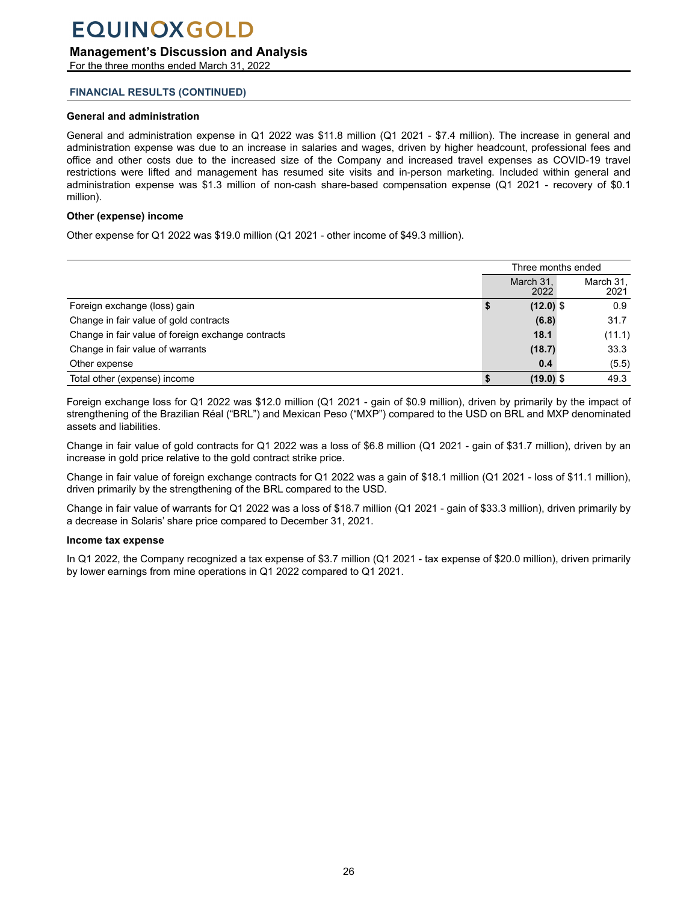### **Management's Discussion and Analysis**

For the three months ended March 31, 2022

#### **FINANCIAL RESULTS (CONTINUED)**

#### **General and administration**

General and administration expense in Q1 2022 was \$11.8 million (Q1 2021 - \$7.4 million). The increase in general and administration expense was due to an increase in salaries and wages, driven by higher headcount, professional fees and office and other costs due to the increased size of the Company and increased travel expenses as COVID-19 travel restrictions were lifted and management has resumed site visits and in-person marketing. Included within general and administration expense was \$1.3 million of non-cash share-based compensation expense (Q1 2021 - recovery of \$0.1 million).

#### **Other (expense) income**

Other expense for Q1 2022 was \$19.0 million (Q1 2021 - other income of \$49.3 million).

|                                                    | Three months ended |                   |  |                   |
|----------------------------------------------------|--------------------|-------------------|--|-------------------|
|                                                    |                    | March 31,<br>2022 |  | March 31,<br>2021 |
| Foreign exchange (loss) gain                       | จ                  | $(12.0)$ \$       |  | 0.9               |
| Change in fair value of gold contracts             |                    | (6.8)             |  | 31.7              |
| Change in fair value of foreign exchange contracts |                    | 18.1              |  | (11.1)            |
| Change in fair value of warrants                   |                    | (18.7)            |  | 33.3              |
| Other expense                                      |                    | 0.4               |  | (5.5)             |
| Total other (expense) income                       |                    | $(19.0)$ \$       |  | 49.3              |

Foreign exchange loss for Q1 2022 was \$12.0 million (Q1 2021 - gain of \$0.9 million), driven by primarily by the impact of strengthening of the Brazilian Réal ("BRL") and Mexican Peso ("MXP") compared to the USD on BRL and MXP denominated assets and liabilities.

Change in fair value of gold contracts for Q1 2022 was a loss of \$6.8 million (Q1 2021 - gain of \$31.7 million), driven by an increase in gold price relative to the gold contract strike price.

Change in fair value of foreign exchange contracts for Q1 2022 was a gain of \$18.1 million (Q1 2021 - loss of \$11.1 million), driven primarily by the strengthening of the BRL compared to the USD.

Change in fair value of warrants for Q1 2022 was a loss of \$18.7 million (Q1 2021 - gain of \$33.3 million), driven primarily by a decrease in Solaris' share price compared to December 31, 2021.

#### **Income tax expense**

In Q1 2022, the Company recognized a tax expense of \$3.7 million (Q1 2021 - tax expense of \$20.0 million), driven primarily by lower earnings from mine operations in Q1 2022 compared to Q1 2021.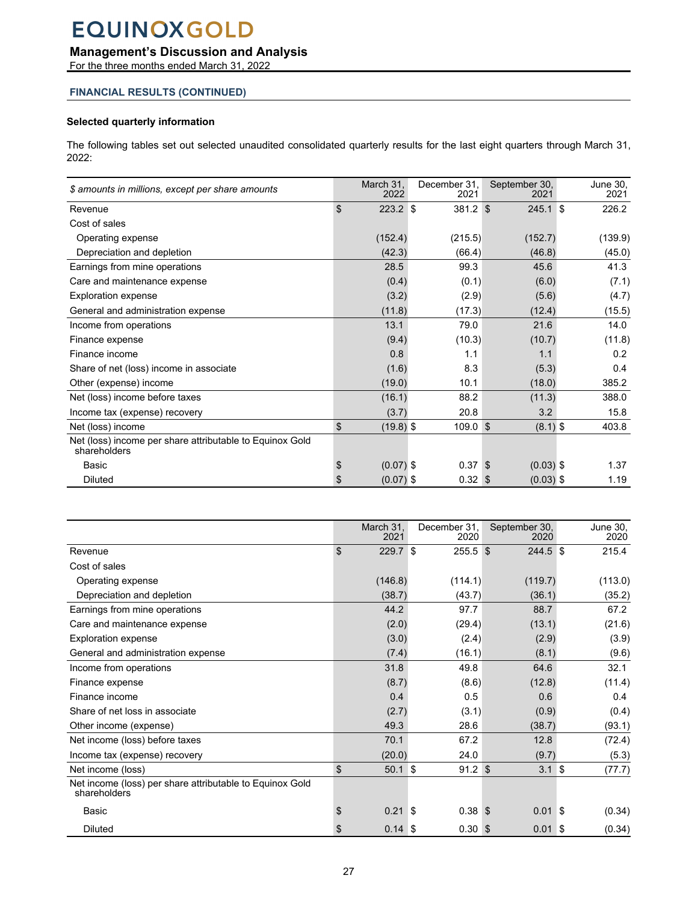## **Management's Discussion and Analysis**

For the three months ended March 31, 2022

#### **FINANCIAL RESULTS (CONTINUED)**

#### **Selected quarterly information**

The following tables set out selected unaudited consolidated quarterly results for the last eight quarters through March 31, 2022:

| \$ amounts in millions, except per share amounts                         | March 31.<br>2022 | December 31.<br>2021 | September 30,<br>2021 | June 30,<br>2021 |
|--------------------------------------------------------------------------|-------------------|----------------------|-----------------------|------------------|
| Revenue                                                                  | \$<br>$223.2$ \$  | 381.2 \$             | $245.1$ \$            | 226.2            |
| Cost of sales                                                            |                   |                      |                       |                  |
| Operating expense                                                        | (152.4)           | (215.5)              | (152.7)               | (139.9)          |
| Depreciation and depletion                                               | (42.3)            | (66.4)               | (46.8)                | (45.0)           |
| Earnings from mine operations                                            | 28.5              | 99.3                 | 45.6                  | 41.3             |
| Care and maintenance expense                                             | (0.4)             | (0.1)                | (6.0)                 | (7.1)            |
| <b>Exploration expense</b>                                               | (3.2)             | (2.9)                | (5.6)                 | (4.7)            |
| General and administration expense                                       | (11.8)            | (17.3)               | (12.4)                | (15.5)           |
| Income from operations                                                   | 13.1              | 79.0                 | 21.6                  | 14.0             |
| Finance expense                                                          | (9.4)             | (10.3)               | (10.7)                | (11.8)           |
| Finance income                                                           | 0.8               | 1.1                  | 1.1                   | 0.2              |
| Share of net (loss) income in associate                                  | (1.6)             | 8.3                  | (5.3)                 | 0.4              |
| Other (expense) income                                                   | (19.0)            | 10.1                 | (18.0)                | 385.2            |
| Net (loss) income before taxes                                           | (16.1)            | 88.2                 | (11.3)                | 388.0            |
| Income tax (expense) recovery                                            | (3.7)             | 20.8                 | 3.2                   | 15.8             |
| Net (loss) income                                                        | \$<br>$(19.8)$ \$ | 109.0 \$             | $(8.1)$ \$            | 403.8            |
| Net (loss) income per share attributable to Equinox Gold<br>shareholders |                   |                      |                       |                  |
| Basic                                                                    | \$<br>$(0.07)$ \$ | $0.37$ \$            | $(0.03)$ \$           | 1.37             |
| <b>Diluted</b>                                                           | \$<br>$(0.07)$ \$ | $0.32$ \$            | $(0.03)$ \$           | 1.19             |

|                                                                          | March 31.<br>2021 |                   | December 31,<br>2020 | September 30,<br>2020 |          | June 30.<br>2020 |
|--------------------------------------------------------------------------|-------------------|-------------------|----------------------|-----------------------|----------|------------------|
| Revenue                                                                  | \$<br>229.7 \$    |                   | $255.5$ \$           | $244.5$ \$            |          | 215.4            |
| Cost of sales                                                            |                   |                   |                      |                       |          |                  |
| Operating expense                                                        | (146.8)           |                   | (114.1)              | (119.7)               |          | (113.0)          |
| Depreciation and depletion                                               | (38.7)            |                   | (43.7)               | (36.1)                |          | (35.2)           |
| Earnings from mine operations                                            | 44.2              |                   | 97.7                 | 88.7                  |          | 67.2             |
| Care and maintenance expense                                             |                   | (2.0)             | (29.4)               | (13.1)                |          | (21.6)           |
| <b>Exploration expense</b>                                               |                   | (3.0)             | (2.4)                | (2.9)                 |          | (3.9)            |
| General and administration expense                                       | (7.4)             |                   | (16.1)               | (8.1)                 |          | (9.6)            |
| Income from operations                                                   | 31.8              |                   | 49.8                 | 64.6                  |          | 32.1             |
| Finance expense                                                          | (8.7)             |                   | (8.6)                | (12.8)                |          | (11.4)           |
| Finance income                                                           | 0.4               |                   | 0.5                  | 0.6                   |          | 0.4              |
| Share of net loss in associate                                           | (2.7)             |                   | (3.1)                | (0.9)                 |          | (0.4)            |
| Other income (expense)                                                   | 49.3              |                   | 28.6                 | (38.7)                |          | (93.1)           |
| Net income (loss) before taxes                                           | 70.1              |                   | 67.2                 | 12.8                  |          | (72.4)           |
| Income tax (expense) recovery                                            | (20.0)            |                   | 24.0                 | (9.7)                 |          | (5.3)            |
| Net income (loss)                                                        | \$                | $50.1$ \$         | $91.2$ \$            | $3.1 \text{ } $$      |          | (77.7)           |
| Net income (loss) per share attributable to Equinox Gold<br>shareholders |                   |                   |                      |                       |          |                  |
| Basic                                                                    | \$<br>0.21        |                   | $0.38$ \$<br>S       | 0.01                  | <b>S</b> | (0.34)           |
| <b>Diluted</b>                                                           | S                 | $0.14 \text{ } $$ | 0.30 <sup>5</sup>    | $0.01$ \$             |          | (0.34)           |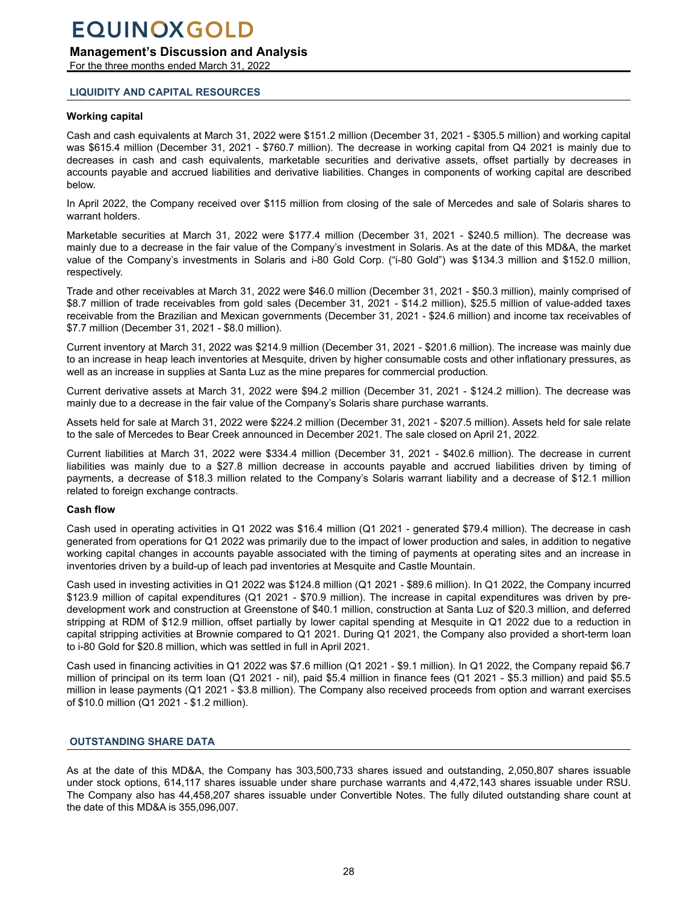### <span id="page-27-0"></span>**Management's Discussion and Analysis**

For the three months ended March 31, 2022

#### **LIQUIDITY AND CAPITAL RESOURCES**

#### **Working capital**

Cash and cash equivalents at March 31, 2022 were \$151.2 million (December 31, 2021 - \$305.5 million) and working capital was \$615.4 million (December 31, 2021 - \$760.7 million). The decrease in working capital from Q4 2021 is mainly due to decreases in cash and cash equivalents, marketable securities and derivative assets, offset partially by decreases in accounts payable and accrued liabilities and derivative liabilities. Changes in components of working capital are described below.

In April 2022, the Company received over \$115 million from closing of the sale of Mercedes and sale of Solaris shares to warrant holders.

Marketable securities at March 31, 2022 were \$177.4 million (December 31, 2021 - \$240.5 million). The decrease was mainly due to a decrease in the fair value of the Company's investment in Solaris. As at the date of this MD&A, the market value of the Company's investments in Solaris and i-80 Gold Corp. ("i-80 Gold") was \$134.3 million and \$152.0 million, respectively.

Trade and other receivables at March 31, 2022 were \$46.0 million (December 31, 2021 - \$50.3 million), mainly comprised of \$8.7 million of trade receivables from gold sales (December 31, 2021 - \$14.2 million), \$25.5 million of value-added taxes receivable from the Brazilian and Mexican governments (December 31, 2021 - \$24.6 million) and income tax receivables of \$7.7 million (December 31, 2021 - \$8.0 million).

Current inventory at March 31, 2022 was \$214.9 million (December 31, 2021 - \$201.6 million). The increase was mainly due to an increase in heap leach inventories at Mesquite, driven by higher consumable costs and other inflationary pressures, as well as an increase in supplies at Santa Luz as the mine prepares for commercial production.

Current derivative assets at March 31, 2022 were \$94.2 million (December 31, 2021 - \$124.2 million). The decrease was mainly due to a decrease in the fair value of the Company's Solaris share purchase warrants.

Assets held for sale at March 31, 2022 were \$224.2 million (December 31, 2021 - \$207.5 million). Assets held for sale relate to the sale of Mercedes to Bear Creek announced in December 2021. The sale closed on April 21, 2022.

Current liabilities at March 31, 2022 were \$334.4 million (December 31, 2021 - \$402.6 million). The decrease in current liabilities was mainly due to a \$27.8 million decrease in accounts payable and accrued liabilities driven by timing of payments, a decrease of \$18.3 million related to the Company's Solaris warrant liability and a decrease of \$12.1 million related to foreign exchange contracts.

#### **Cash flow**

Cash used in operating activities in Q1 2022 was \$16.4 million (Q1 2021 - generated \$79.4 million). The decrease in cash generated from operations for Q1 2022 was primarily due to the impact of lower production and sales, in addition to negative working capital changes in accounts payable associated with the timing of payments at operating sites and an increase in inventories driven by a build-up of leach pad inventories at Mesquite and Castle Mountain.

Cash used in investing activities in Q1 2022 was \$124.8 million (Q1 2021 - \$89.6 million). In Q1 2022, the Company incurred \$123.9 million of capital expenditures (Q1 2021 - \$70.9 million). The increase in capital expenditures was driven by predevelopment work and construction at Greenstone of \$40.1 million, construction at Santa Luz of \$20.3 million, and deferred stripping at RDM of \$12.9 million, offset partially by lower capital spending at Mesquite in Q1 2022 due to a reduction in capital stripping activities at Brownie compared to Q1 2021. During Q1 2021, the Company also provided a short-term loan to i-80 Gold for \$20.8 million, which was settled in full in April 2021.

Cash used in financing activities in Q1 2022 was \$7.6 million (Q1 2021 - \$9.1 million). In Q1 2022, the Company repaid \$6.7 million of principal on its term loan (Q1 2021 - nil), paid \$5.4 million in finance fees (Q1 2021 - \$5.3 million) and paid \$5.5 million in lease payments (Q1 2021 - \$3.8 million). The Company also received proceeds from option and warrant exercises of \$10.0 million (Q1 2021 - \$1.2 million).

#### **OUTSTANDING SHARE DATA**

As at the date of this MD&A, the Company has 303,500,733 shares issued and outstanding, 2,050,807 shares issuable under stock options, 614,117 shares issuable under share purchase warrants and 4,472,143 shares issuable under RSU. The Company also has 44,458,207 shares issuable under Convertible Notes. The fully diluted outstanding share count at the date of this MD&A is 355,096,007.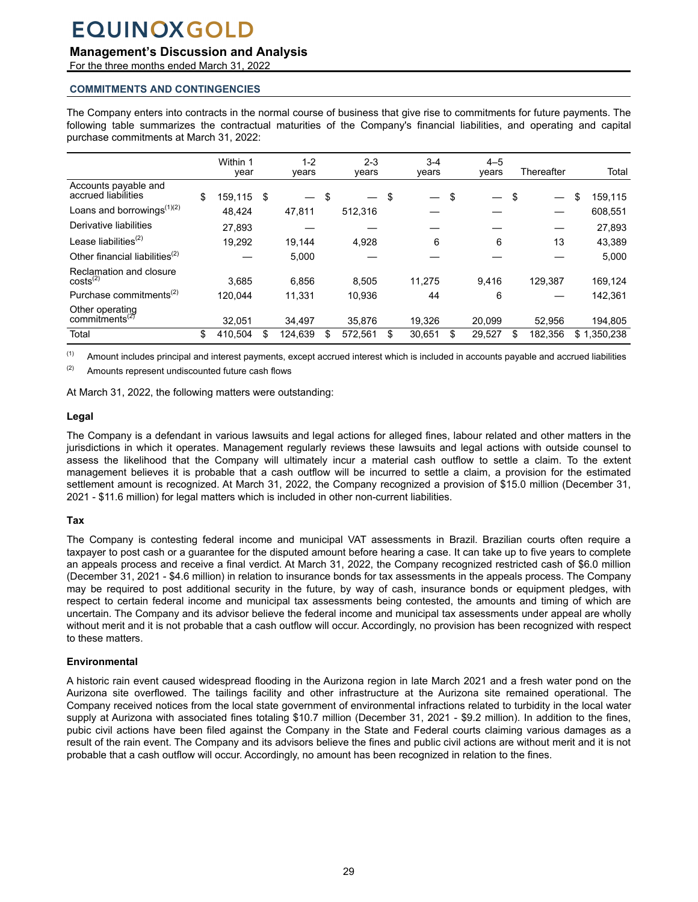### <span id="page-28-0"></span>**Management's Discussion and Analysis**

For the three months ended March 31, 2022

### **COMMITMENTS AND CONTINGENCIES**

The Company enters into contracts in the normal course of business that give rise to commitments for future payments. The following table summarizes the contractual maturities of the Company's financial liabilities, and operating and capital purchase commitments at March 31, 2022:

|                                                            | Within 1<br>year | $1 - 2$<br>years               | $2 - 3$<br>years | $3 - 4$<br>vears               |    | $4 - 5$<br>years | Thereafter     | Total         |
|------------------------------------------------------------|------------------|--------------------------------|------------------|--------------------------------|----|------------------|----------------|---------------|
| Accounts payable and<br>accrued liabilities                | \$<br>159,115    | \$<br>$\overline{\phantom{0}}$ | \$               | \$<br>$\overline{\phantom{0}}$ | \$ | —                | \$<br>$\equiv$ | \$<br>159,115 |
| Loans and borrowings <sup>(1)(2)</sup>                     | 48,424           | 47,811                         | 512,316          |                                |    |                  |                | 608,551       |
| Derivative liabilities                                     | 27,893           |                                |                  |                                |    |                  |                | 27,893        |
| Lease liabilities <sup>(2)</sup>                           | 19.292           | 19.144                         | 4,928            | 6                              |    | 6                | 13             | 43,389        |
| Other financial liabilities <sup>(2)</sup>                 |                  | 5,000                          |                  |                                |    |                  |                | 5,000         |
| Reclamation and closure<br>$costs^{(2)}$                   | 3.685            | 6.856                          | 8.505            | 11.275                         |    | 9.416            | 129.387        | 169,124       |
| Purchase commitments <sup>(2)</sup>                        | 120.044          | 11,331                         | 10.936           | 44                             |    | 6                |                | 142,361       |
| Other operating<br>commitments <sup><math>(2)</math></sup> | 32.051           | 34,497                         | 35.876           | 19.326                         |    | 20.099           | 52.956         | 194,805       |
| Total                                                      | \$<br>410.504    | \$<br>124,639                  | 572,561          | 30,651                         | S  | 29,527           | \$<br>182.356  | \$1,350,238   |

(1) Amount includes principal and interest payments, except accrued interest which is included in accounts payable and accrued liabilities

(2) Amounts represent undiscounted future cash flows

At March 31, 2022, the following matters were outstanding:

#### **Legal**

The Company is a defendant in various lawsuits and legal actions for alleged fines, labour related and other matters in the jurisdictions in which it operates. Management regularly reviews these lawsuits and legal actions with outside counsel to assess the likelihood that the Company will ultimately incur a material cash outflow to settle a claim. To the extent management believes it is probable that a cash outflow will be incurred to settle a claim, a provision for the estimated settlement amount is recognized. At March 31, 2022, the Company recognized a provision of \$15.0 million (December 31, 2021 - \$11.6 million) for legal matters which is included in other non-current liabilities.

#### **Tax**

The Company is contesting federal income and municipal VAT assessments in Brazil. Brazilian courts often require a taxpayer to post cash or a guarantee for the disputed amount before hearing a case. It can take up to five years to complete an appeals process and receive a final verdict. At March 31, 2022, the Company recognized restricted cash of \$6.0 million (December 31, 2021 - \$4.6 million) in relation to insurance bonds for tax assessments in the appeals process. The Company may be required to post additional security in the future, by way of cash, insurance bonds or equipment pledges, with respect to certain federal income and municipal tax assessments being contested, the amounts and timing of which are uncertain. The Company and its advisor believe the federal income and municipal tax assessments under appeal are wholly without merit and it is not probable that a cash outflow will occur. Accordingly, no provision has been recognized with respect to these matters.

#### **Environmental**

A historic rain event caused widespread flooding in the Aurizona region in late March 2021 and a fresh water pond on the Aurizona site overflowed. The tailings facility and other infrastructure at the Aurizona site remained operational. The Company received notices from the local state government of environmental infractions related to turbidity in the local water supply at Aurizona with associated fines totaling \$10.7 million (December 31, 2021 - \$9.2 million). In addition to the fines, pubic civil actions have been filed against the Company in the State and Federal courts claiming various damages as a result of the rain event. The Company and its advisors believe the fines and public civil actions are without merit and it is not probable that a cash outflow will occur. Accordingly, no amount has been recognized in relation to the fines.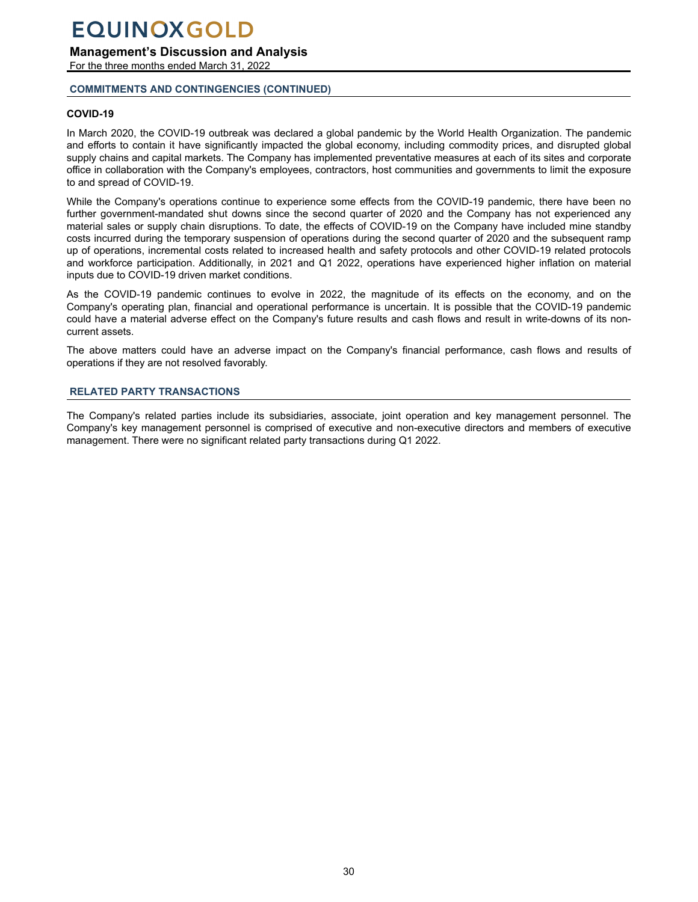<span id="page-29-0"></span>**Management's Discussion and Analysis**

For the three months ended March 31, 2022

#### **COMMITMENTS AND CONTINGENCIES (CONTINUED)**

#### **COVID-19**

In March 2020, the COVID-19 outbreak was declared a global pandemic by the World Health Organization. The pandemic and efforts to contain it have significantly impacted the global economy, including commodity prices, and disrupted global supply chains and capital markets. The Company has implemented preventative measures at each of its sites and corporate office in collaboration with the Company's employees, contractors, host communities and governments to limit the exposure to and spread of COVID-19.

While the Company's operations continue to experience some effects from the COVID-19 pandemic, there have been no further government-mandated shut downs since the second quarter of 2020 and the Company has not experienced any material sales or supply chain disruptions. To date, the effects of COVID-19 on the Company have included mine standby costs incurred during the temporary suspension of operations during the second quarter of 2020 and the subsequent ramp up of operations, incremental costs related to increased health and safety protocols and other COVID-19 related protocols and workforce participation. Additionally, in 2021 and Q1 2022, operations have experienced higher inflation on material inputs due to COVID-19 driven market conditions.

As the COVID-19 pandemic continues to evolve in 2022, the magnitude of its effects on the economy, and on the Company's operating plan, financial and operational performance is uncertain. It is possible that the COVID-19 pandemic could have a material adverse effect on the Company's future results and cash flows and result in write-downs of its noncurrent assets.

The above matters could have an adverse impact on the Company's financial performance, cash flows and results of operations if they are not resolved favorably.

#### **RELATED PARTY TRANSACTIONS**

The Company's related parties include its subsidiaries, associate, joint operation and key management personnel. The Company's key management personnel is comprised of executive and non-executive directors and members of executive management. There were no significant related party transactions during Q1 2022.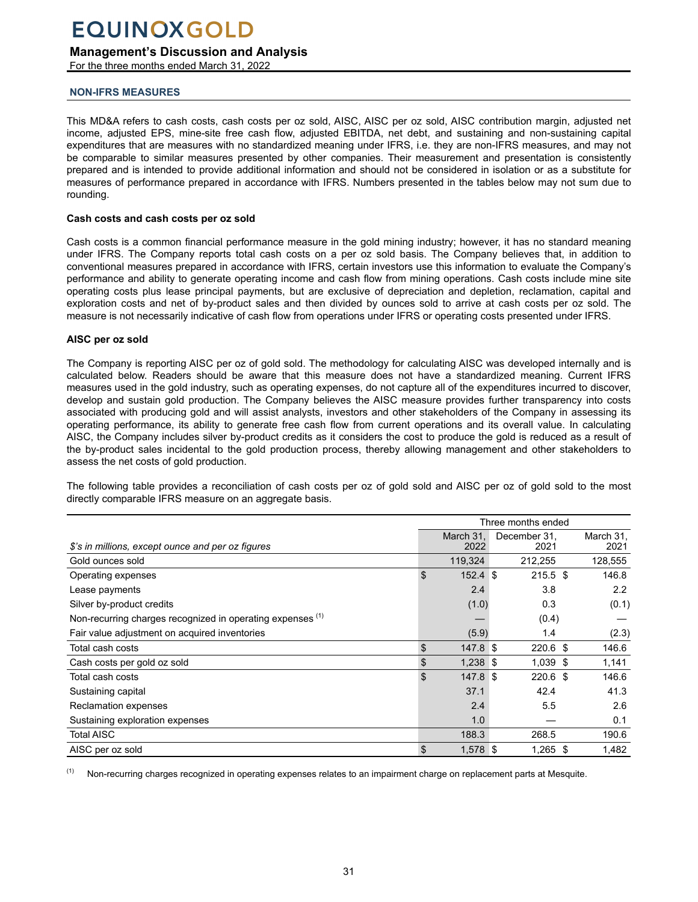## <span id="page-30-0"></span>**Management's Discussion and Analysis**

For the three months ended March 31, 2022

### **NON-IFRS MEASURES**

This MD&A refers to cash costs, cash costs per oz sold, AISC, AISC per oz sold, AISC contribution margin, adjusted net income, adjusted EPS, mine-site free cash flow, adjusted EBITDA, net debt, and sustaining and non-sustaining capital expenditures that are measures with no standardized meaning under IFRS, i.e. they are non-IFRS measures, and may not be comparable to similar measures presented by other companies. Their measurement and presentation is consistently prepared and is intended to provide additional information and should not be considered in isolation or as a substitute for measures of performance prepared in accordance with IFRS. Numbers presented in the tables below may not sum due to rounding.

#### **Cash costs and cash costs per oz sold**

Cash costs is a common financial performance measure in the gold mining industry; however, it has no standard meaning under IFRS. The Company reports total cash costs on a per oz sold basis. The Company believes that, in addition to conventional measures prepared in accordance with IFRS, certain investors use this information to evaluate the Company's performance and ability to generate operating income and cash flow from mining operations. Cash costs include mine site operating costs plus lease principal payments, but are exclusive of depreciation and depletion, reclamation, capital and exploration costs and net of by-product sales and then divided by ounces sold to arrive at cash costs per oz sold. The measure is not necessarily indicative of cash flow from operations under IFRS or operating costs presented under IFRS.

#### **AISC per oz sold**

The Company is reporting AISC per oz of gold sold. The methodology for calculating AISC was developed internally and is calculated below. Readers should be aware that this measure does not have a standardized meaning. Current IFRS measures used in the gold industry, such as operating expenses, do not capture all of the expenditures incurred to discover, develop and sustain gold production. The Company believes the AISC measure provides further transparency into costs associated with producing gold and will assist analysts, investors and other stakeholders of the Company in assessing its operating performance, its ability to generate free cash flow from current operations and its overall value. In calculating AISC, the Company includes silver by-product credits as it considers the cost to produce the gold is reduced as a result of the by-product sales incidental to the gold production process, thereby allowing management and other stakeholders to assess the net costs of gold production.

The following table provides a reconciliation of cash costs per oz of gold sold and AISC per oz of gold sold to the most directly comparable IFRS measure on an aggregate basis.

|                                                            | Three months ended |                      |  |                   |  |  |  |  |  |
|------------------------------------------------------------|--------------------|----------------------|--|-------------------|--|--|--|--|--|
| \$'s in millions, except ounce and per oz figures          | March 31,<br>2022  | December 31,<br>2021 |  | March 31,<br>2021 |  |  |  |  |  |
| Gold ounces sold                                           | 119,324            | 212,255              |  | 128,555           |  |  |  |  |  |
| Operating expenses                                         | \$<br>$152.4$ \$   | $215.5$ \$           |  | 146.8             |  |  |  |  |  |
| Lease payments                                             | 2.4                | 3.8                  |  | $2.2^{\circ}$     |  |  |  |  |  |
| Silver by-product credits                                  | (1.0)              | 0.3                  |  | (0.1)             |  |  |  |  |  |
| Non-recurring charges recognized in operating expenses (1) |                    | (0.4)                |  |                   |  |  |  |  |  |
| Fair value adjustment on acquired inventories              | (5.9)              | 1.4                  |  | (2.3)             |  |  |  |  |  |
| Total cash costs                                           | \$<br>147.8 \$     | $220.6$ \$           |  | 146.6             |  |  |  |  |  |
| Cash costs per gold oz sold                                | \$<br>$1,238$ \$   | $1,039$ \$           |  | 1,141             |  |  |  |  |  |
| Total cash costs                                           | \$<br>147.8 \$     | $220.6$ \$           |  | 146.6             |  |  |  |  |  |
| Sustaining capital                                         | 37.1               | 42.4                 |  | 41.3              |  |  |  |  |  |
| Reclamation expenses                                       | 2.4                | 5.5                  |  | 2.6               |  |  |  |  |  |
| Sustaining exploration expenses                            | 1.0                |                      |  | 0.1               |  |  |  |  |  |
| <b>Total AISC</b>                                          | 188.3              | 268.5                |  | 190.6             |  |  |  |  |  |
| AISC per oz sold                                           | \$<br>$1,578$ \$   | $1,265$ \$           |  | 1,482             |  |  |  |  |  |

<sup>(1)</sup> Non-recurring charges recognized in operating expenses relates to an impairment charge on replacement parts at Mesquite.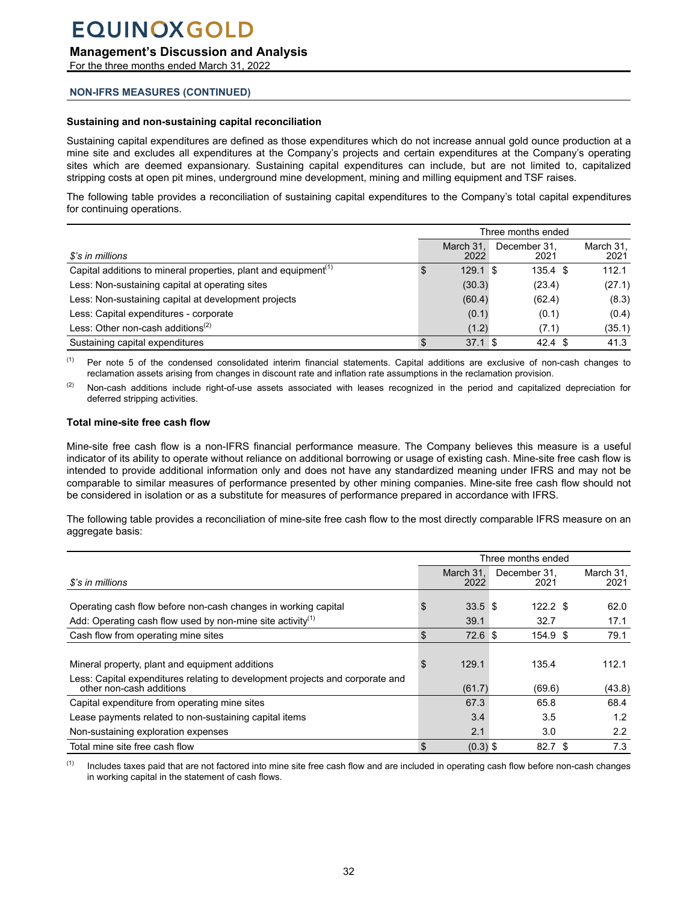### **Management's Discussion and Analysis**

For the three months ended March 31, 2022

#### **NON-IFRS MEASURES (CONTINUED)**

#### **Sustaining and non-sustaining capital reconciliation**

Sustaining capital expenditures are defined as those expenditures which do not increase annual gold ounce production at a mine site and excludes all expenditures at the Company's projects and certain expenditures at the Company's operating sites which are deemed expansionary. Sustaining capital expenditures can include, but are not limited to, capitalized stripping costs at open pit mines, underground mine development, mining and milling equipment and TSF raises.

The following table provides a reconciliation of sustaining capital expenditures to the Company's total capital expenditures for continuing operations.

|                                                                             | Three months ended |                   |  |                      |                   |  |
|-----------------------------------------------------------------------------|--------------------|-------------------|--|----------------------|-------------------|--|
| \$'s in millions                                                            |                    | March 31.<br>2022 |  | December 31.<br>2021 | March 31,<br>2021 |  |
| Capital additions to mineral properties, plant and equipment <sup>(1)</sup> |                    | $129.1$ \$        |  | $135.4 \text{ } $s$  | 112.1             |  |
| Less: Non-sustaining capital at operating sites                             |                    | (30.3)            |  | (23.4)               | (27.1)            |  |
| Less: Non-sustaining capital at development projects                        |                    | (60.4)            |  | (62.4)               | (8.3)             |  |
| Less: Capital expenditures - corporate                                      |                    | (0.1)             |  | (0.1)                | (0.4)             |  |
| Less: Other non-cash additions <sup>(2)</sup>                               |                    | (1.2)             |  | (7.1)                | (35.1)            |  |
| Sustaining capital expenditures                                             |                    | 37.1 <sup>5</sup> |  | $42.4 \text{ } $$    | 41.3              |  |

<sup>(1)</sup> Per note 5 of the condensed consolidated interim financial statements. Capital additions are exclusive of non-cash changes to reclamation assets arising from changes in discount rate and inflation rate assumptions in the reclamation provision.

(2) Non-cash additions include right-of-use assets associated with leases recognized in the period and capitalized depreciation for deferred stripping activities.

#### **Total mine-site free cash flow**

Mine-site free cash flow is a non-IFRS financial performance measure. The Company believes this measure is a useful indicator of its ability to operate without reliance on additional borrowing or usage of existing cash. Mine-site free cash flow is intended to provide additional information only and does not have any standardized meaning under IFRS and may not be comparable to similar measures of performance presented by other mining companies. Mine-site free cash flow should not be considered in isolation or as a substitute for measures of performance prepared in accordance with IFRS.

The following table provides a reconciliation of mine-site free cash flow to the most directly comparable IFRS measure on an aggregate basis:

| \$'s in millions                                                                                          |    | March 31.<br>2022 | December 31.<br>2021 |   | March 31,<br>2021 |
|-----------------------------------------------------------------------------------------------------------|----|-------------------|----------------------|---|-------------------|
| Operating cash flow before non-cash changes in working capital                                            | S  | 33.5 <sup>5</sup> | $122.2$ \$           |   | 62.0              |
| Add: Operating cash flow used by non-mine site activity <sup>(1)</sup>                                    |    | 39.1              | 32.7                 |   | 17.1              |
| Cash flow from operating mine sites                                                                       | \$ | 72.6 <sup>°</sup> | 154.9 \$             |   | 79.1              |
|                                                                                                           |    |                   |                      |   |                   |
| Mineral property, plant and equipment additions                                                           | S  | 129.1             | 135.4                |   | 112.1             |
| Less: Capital expenditures relating to development projects and corporate and<br>other non-cash additions |    | (61.7)            | (69.6)               |   | (43.8)            |
| Capital expenditure from operating mine sites                                                             |    | 67.3              | 65.8                 |   | 68.4              |
| Lease payments related to non-sustaining capital items                                                    |    | 3.4               | 3.5                  |   | 1.2               |
| Non-sustaining exploration expenses                                                                       |    | 2.1               | 3.0                  |   | 2.2               |
| Total mine site free cash flow                                                                            | \$ | $(0.3)$ \$        | 82.7                 | S | 7.3               |

(1) Includes taxes paid that are not factored into mine site free cash flow and are included in operating cash flow before non-cash changes in working capital in the statement of cash flows.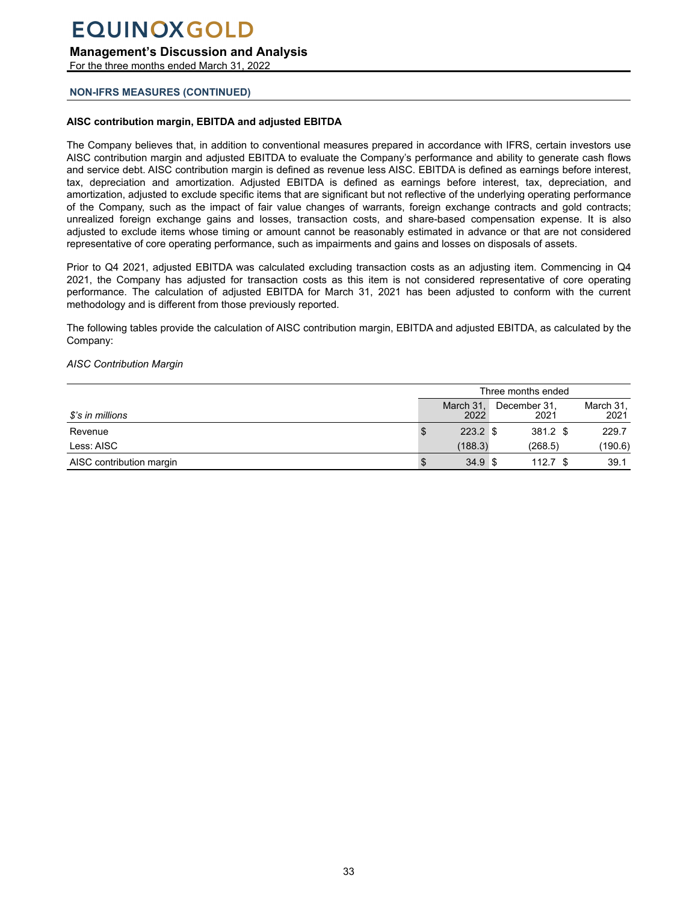**Management's Discussion and Analysis**

For the three months ended March 31, 2022

### **NON-IFRS MEASURES (CONTINUED)**

### **AISC contribution margin, EBITDA and adjusted EBITDA**

The Company believes that, in addition to conventional measures prepared in accordance with IFRS, certain investors use AISC contribution margin and adjusted EBITDA to evaluate the Company's performance and ability to generate cash flows and service debt. AISC contribution margin is defined as revenue less AISC. EBITDA is defined as earnings before interest, tax, depreciation and amortization. Adjusted EBITDA is defined as earnings before interest, tax, depreciation, and amortization, adjusted to exclude specific items that are significant but not reflective of the underlying operating performance of the Company, such as the impact of fair value changes of warrants, foreign exchange contracts and gold contracts; unrealized foreign exchange gains and losses, transaction costs, and share-based compensation expense. It is also adjusted to exclude items whose timing or amount cannot be reasonably estimated in advance or that are not considered representative of core operating performance, such as impairments and gains and losses on disposals of assets.

Prior to Q4 2021, adjusted EBITDA was calculated excluding transaction costs as an adjusting item. Commencing in Q4 2021, the Company has adjusted for transaction costs as this item is not considered representative of core operating performance. The calculation of adjusted EBITDA for March 31, 2021 has been adjusted to conform with the current methodology and is different from those previously reported.

The following tables provide the calculation of AISC contribution margin, EBITDA and adjusted EBITDA, as calculated by the Company:

#### *AISC Contribution Margin*

|                          | Three months ended |                   |  |                      |                   |  |
|--------------------------|--------------------|-------------------|--|----------------------|-------------------|--|
| \$'s in millions         |                    | March 31,<br>2022 |  | December 31,<br>2021 | March 31,<br>2021 |  |
| Revenue                  |                    | $223.2$ \$        |  | 381.2 \$             | 229.7             |  |
| Less: AISC               |                    | (188.3)           |  | (268.5)              | (190.6)           |  |
| AISC contribution margin |                    | 34.9 <sup>°</sup> |  | $112.7$ \$           | 39.1              |  |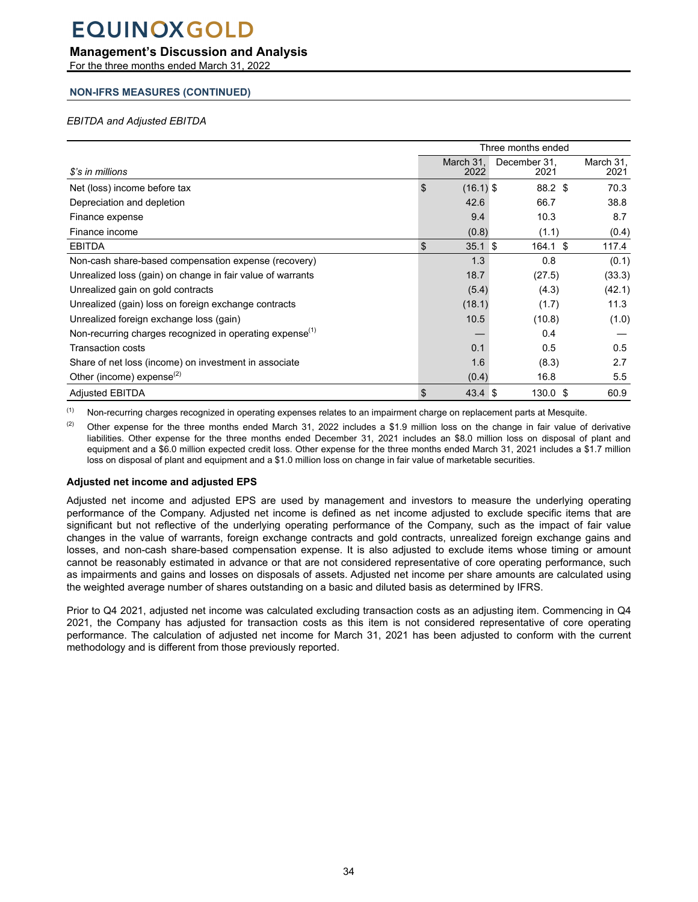## **Management's Discussion and Analysis**

For the three months ended March 31, 2022

## **NON-IFRS MEASURES (CONTINUED)**

### *EBITDA and Adjusted EBITDA*

|                                                                      | Three months ended      |                      |                   |  |  |  |
|----------------------------------------------------------------------|-------------------------|----------------------|-------------------|--|--|--|
| \$'s in millions                                                     | March 31.<br>2022       | December 31,<br>2021 | March 31,<br>2021 |  |  |  |
| Net (loss) income before tax                                         | \$<br>$(16.1)$ \$       | 88.2 \$              | 70.3              |  |  |  |
| Depreciation and depletion                                           | 42.6                    | 66.7                 | 38.8              |  |  |  |
| Finance expense                                                      | 9.4                     | 10.3                 | 8.7               |  |  |  |
| Finance income                                                       | (0.8)                   | (1.1)                | (0.4)             |  |  |  |
| <b>EBITDA</b>                                                        | \$<br>$35.1$ \$         | $164.1$ \$           | 117.4             |  |  |  |
| Non-cash share-based compensation expense (recovery)                 | 1.3                     | 0.8                  | (0.1)             |  |  |  |
| Unrealized loss (gain) on change in fair value of warrants           | 18.7                    | (27.5)               | (33.3)            |  |  |  |
| Unrealized gain on gold contracts                                    | (5.4)                   | (4.3)                | (42.1)            |  |  |  |
| Unrealized (gain) loss on foreign exchange contracts                 | (18.1)                  | (1.7)                | 11.3              |  |  |  |
| Unrealized foreign exchange loss (gain)                              | 10.5                    | (10.8)               | (1.0)             |  |  |  |
| Non-recurring charges recognized in operating expense <sup>(1)</sup> |                         | 0.4                  |                   |  |  |  |
| Transaction costs                                                    | 0.1                     | 0.5                  | 0.5               |  |  |  |
| Share of net loss (income) on investment in associate                | 1.6                     | (8.3)                | 2.7               |  |  |  |
| Other (income) expense $^{(2)}$                                      | (0.4)                   | 16.8                 | $5.5^{\circ}$     |  |  |  |
| <b>Adjusted EBITDA</b>                                               | 43.4 <sup>°</sup><br>\$ | $130.0 \text{ }$ \$  | 60.9              |  |  |  |

(1) Non-recurring charges recognized in operating expenses relates to an impairment charge on replacement parts at Mesquite.

(2) Other expense for the three months ended March 31, 2022 includes a \$1.9 million loss on the change in fair value of derivative liabilities. Other expense for the three months ended December 31, 2021 includes an \$8.0 million loss on disposal of plant and equipment and a \$6.0 million expected credit loss. Other expense for the three months ended March 31, 2021 includes a \$1.7 million loss on disposal of plant and equipment and a \$1.0 million loss on change in fair value of marketable securities.

#### **Adjusted net income and adjusted EPS**

Adjusted net income and adjusted EPS are used by management and investors to measure the underlying operating performance of the Company. Adjusted net income is defined as net income adjusted to exclude specific items that are significant but not reflective of the underlying operating performance of the Company, such as the impact of fair value changes in the value of warrants, foreign exchange contracts and gold contracts, unrealized foreign exchange gains and losses, and non-cash share-based compensation expense. It is also adjusted to exclude items whose timing or amount cannot be reasonably estimated in advance or that are not considered representative of core operating performance, such as impairments and gains and losses on disposals of assets. Adjusted net income per share amounts are calculated using the weighted average number of shares outstanding on a basic and diluted basis as determined by IFRS.

Prior to Q4 2021, adjusted net income was calculated excluding transaction costs as an adjusting item. Commencing in Q4 2021, the Company has adjusted for transaction costs as this item is not considered representative of core operating performance. The calculation of adjusted net income for March 31, 2021 has been adjusted to conform with the current methodology and is different from those previously reported.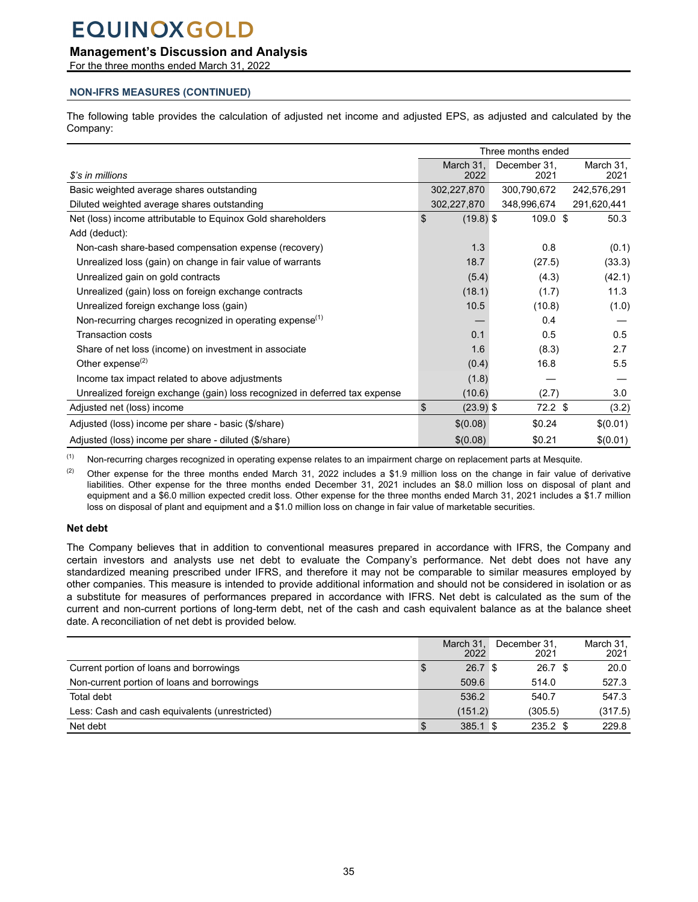### **Management's Discussion and Analysis**

For the three months ended March 31, 2022

### **NON-IFRS MEASURES (CONTINUED)**

The following table provides the calculation of adjusted net income and adjusted EPS, as adjusted and calculated by the Company:

|                                                                            | Three months ended |                      |                   |  |  |  |
|----------------------------------------------------------------------------|--------------------|----------------------|-------------------|--|--|--|
| \$'s in millions                                                           | March 31,<br>2022  | December 31,<br>2021 | March 31,<br>2021 |  |  |  |
| Basic weighted average shares outstanding                                  | 302,227,870        | 300,790,672          | 242,576,291       |  |  |  |
| Diluted weighted average shares outstanding                                | 302,227,870        | 348,996,674          | 291,620,441       |  |  |  |
| Net (loss) income attributable to Equinox Gold shareholders                | \$<br>$(19.8)$ \$  | $109.0 \text{ }$ \$  | 50.3              |  |  |  |
| Add (deduct):                                                              |                    |                      |                   |  |  |  |
| Non-cash share-based compensation expense (recovery)                       | 1.3                | 0.8                  | (0.1)             |  |  |  |
| Unrealized loss (gain) on change in fair value of warrants                 | 18.7               | (27.5)               | (33.3)            |  |  |  |
| Unrealized gain on gold contracts                                          | (5.4)              | (4.3)                | (42.1)            |  |  |  |
| Unrealized (gain) loss on foreign exchange contracts                       | (18.1)             | (1.7)                | 11.3              |  |  |  |
| Unrealized foreign exchange loss (gain)                                    | 10.5               | (10.8)               | (1.0)             |  |  |  |
| Non-recurring charges recognized in operating expense <sup>(1)</sup>       |                    | 0.4                  |                   |  |  |  |
| <b>Transaction costs</b>                                                   | 0.1                | 0.5                  | 0.5               |  |  |  |
| Share of net loss (income) on investment in associate                      | 1.6                | (8.3)                | 2.7               |  |  |  |
| Other expense $^{(2)}$                                                     | (0.4)              | 16.8                 | 5.5               |  |  |  |
| Income tax impact related to above adjustments                             | (1.8)              |                      |                   |  |  |  |
| Unrealized foreign exchange (gain) loss recognized in deferred tax expense | (10.6)             | (2.7)                | 3.0               |  |  |  |
| Adjusted net (loss) income                                                 | \$<br>$(23.9)$ \$  | $72.2$ \$            | (3.2)             |  |  |  |
| Adjusted (loss) income per share - basic (\$/share)                        | \$(0.08)           | \$0.24               | \$(0.01)          |  |  |  |
| Adjusted (loss) income per share - diluted (\$/share)                      | \$(0.08)           | \$0.21               | \$(0.01)          |  |  |  |

<sup>(1)</sup> Non-recurring charges recognized in operating expense relates to an impairment charge on replacement parts at Mesquite.

(2) Other expense for the three months ended March 31, 2022 includes a \$1.9 million loss on the change in fair value of derivative liabilities. Other expense for the three months ended December 31, 2021 includes an \$8.0 million loss on disposal of plant and equipment and a \$6.0 million expected credit loss. Other expense for the three months ended March 31, 2021 includes a \$1.7 million loss on disposal of plant and equipment and a \$1.0 million loss on change in fair value of marketable securities.

### **Net debt**

The Company believes that in addition to conventional measures prepared in accordance with IFRS, the Company and certain investors and analysts use net debt to evaluate the Company's performance. Net debt does not have any standardized meaning prescribed under IFRS, and therefore it may not be comparable to similar measures employed by other companies. This measure is intended to provide additional information and should not be considered in isolation or as a substitute for measures of performances prepared in accordance with IFRS. Net debt is calculated as the sum of the current and non-current portions of long-term debt, net of the cash and cash equivalent balance as at the balance sheet date. A reconciliation of net debt is provided below.

|                                                | March 31.<br>2022 | December 31.<br>2021 | March 31.<br>2021 |
|------------------------------------------------|-------------------|----------------------|-------------------|
| Current portion of loans and borrowings        | 26.7 <sup>8</sup> | 26.7 <sup>°</sup>    | 20.0              |
| Non-current portion of loans and borrowings    | 509.6             | 514.0                | 527.3             |
| Total debt                                     | 536.2             | 540.7                | 547.3             |
| Less: Cash and cash equivalents (unrestricted) | (151.2)           | (305.5)              | (317.5)           |
| Net debt                                       | $385.1$ \$        | $235.2$ \$           | 229.8             |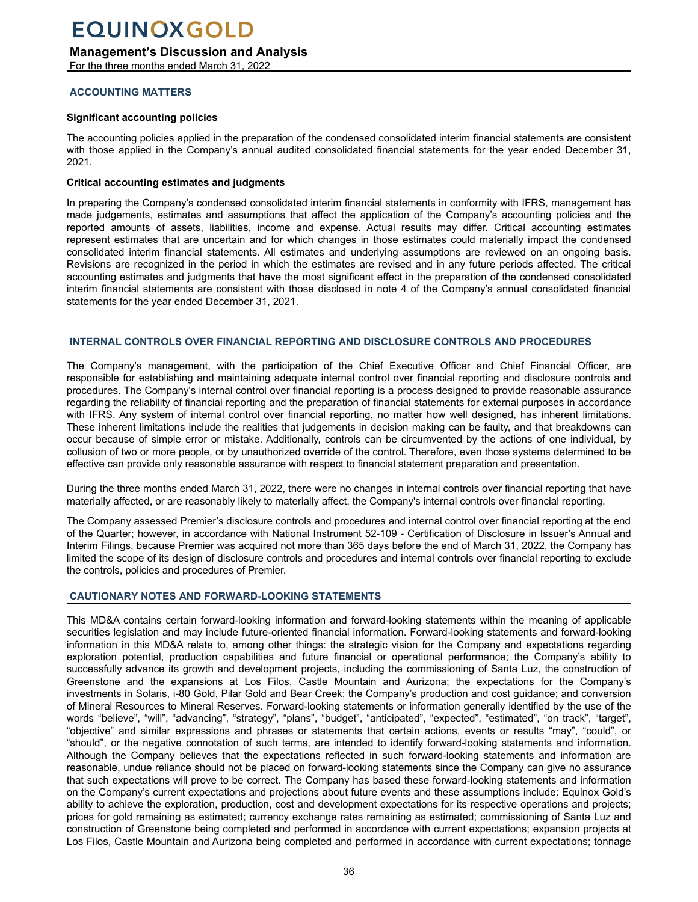<span id="page-35-0"></span>**Management's Discussion and Analysis**

For the three months ended March 31, 2022

#### **ACCOUNTING MATTERS**

#### **Significant accounting policies**

The accounting policies applied in the preparation of the condensed consolidated interim financial statements are consistent with those applied in the Company's annual audited consolidated financial statements for the year ended December 31, 2021.

#### **Critical accounting estimates and judgments**

In preparing the Company's condensed consolidated interim financial statements in conformity with IFRS, management has made judgements, estimates and assumptions that affect the application of the Company's accounting policies and the reported amounts of assets, liabilities, income and expense. Actual results may differ. Critical accounting estimates represent estimates that are uncertain and for which changes in those estimates could materially impact the condensed consolidated interim financial statements. All estimates and underlying assumptions are reviewed on an ongoing basis. Revisions are recognized in the period in which the estimates are revised and in any future periods affected. The critical accounting estimates and judgments that have the most significant effect in the preparation of the condensed consolidated interim financial statements are consistent with those disclosed in note 4 of the Company's annual consolidated financial statements for the year ended December 31, 2021.

#### **INTERNAL CONTROLS OVER FINANCIAL REPORTING AND DISCLOSURE CONTROLS AND PROCEDURES**

The Company's management, with the participation of the Chief Executive Officer and Chief Financial Officer, are responsible for establishing and maintaining adequate internal control over financial reporting and disclosure controls and procedures. The Company's internal control over financial reporting is a process designed to provide reasonable assurance regarding the reliability of financial reporting and the preparation of financial statements for external purposes in accordance with IFRS. Any system of internal control over financial reporting, no matter how well designed, has inherent limitations. These inherent limitations include the realities that judgements in decision making can be faulty, and that breakdowns can occur because of simple error or mistake. Additionally, controls can be circumvented by the actions of one individual, by collusion of two or more people, or by unauthorized override of the control. Therefore, even those systems determined to be effective can provide only reasonable assurance with respect to financial statement preparation and presentation.

During the three months ended March 31, 2022, there were no changes in internal controls over financial reporting that have materially affected, or are reasonably likely to materially affect, the Company's internal controls over financial reporting.

The Company assessed Premier's disclosure controls and procedures and internal control over financial reporting at the end of the Quarter; however, in accordance with National Instrument 52-109 - Certification of Disclosure in Issuer's Annual and Interim Filings, because Premier was acquired not more than 365 days before the end of March 31, 2022, the Company has limited the scope of its design of disclosure controls and procedures and internal controls over financial reporting to exclude the controls, policies and procedures of Premier.

#### **CAUTIONARY NOTES AND FORWARD-LOOKING STATEMENTS**

This MD&A contains certain forward-looking information and forward-looking statements within the meaning of applicable securities legislation and may include future-oriented financial information. Forward-looking statements and forward-looking information in this MD&A relate to, among other things: the strategic vision for the Company and expectations regarding exploration potential, production capabilities and future financial or operational performance; the Company's ability to successfully advance its growth and development projects, including the commissioning of Santa Luz, the construction of Greenstone and the expansions at Los Filos, Castle Mountain and Aurizona; the expectations for the Company's investments in Solaris, i-80 Gold, Pilar Gold and Bear Creek; the Company's production and cost guidance; and conversion of Mineral Resources to Mineral Reserves. Forward-looking statements or information generally identified by the use of the words "believe", "will", "advancing", "strategy", "plans", "budget", "anticipated", "expected", "estimated", "on track", "target", "objective" and similar expressions and phrases or statements that certain actions, events or results "may", "could", or "should", or the negative connotation of such terms, are intended to identify forward-looking statements and information. Although the Company believes that the expectations reflected in such forward-looking statements and information are reasonable, undue reliance should not be placed on forward-looking statements since the Company can give no assurance that such expectations will prove to be correct. The Company has based these forward-looking statements and information on the Company's current expectations and projections about future events and these assumptions include: Equinox Gold's ability to achieve the exploration, production, cost and development expectations for its respective operations and projects; prices for gold remaining as estimated; currency exchange rates remaining as estimated; commissioning of Santa Luz and construction of Greenstone being completed and performed in accordance with current expectations; expansion projects at Los Filos, Castle Mountain and Aurizona being completed and performed in accordance with current expectations; tonnage